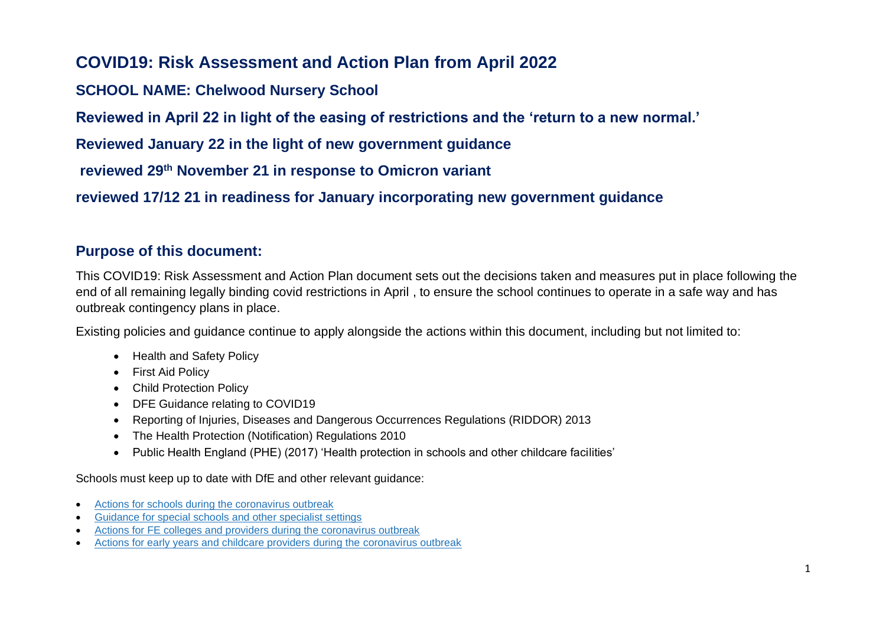# **COVID19: Risk Assessment and Action Plan from April 2022**

## **SCHOOL NAME: Chelwood Nursery School**

**Reviewed in April 22 in light of the easing of restrictions and the 'return to a new normal.'**

**Reviewed January 22 in the light of new government guidance**

**reviewed 29th November 21 in response to Omicron variant**

**reviewed 17/12 21 in readiness for January incorporating new government guidance**

### **Purpose of this document:**

This COVID19: Risk Assessment and Action Plan document sets out the decisions taken and measures put in place following the end of all remaining legally binding covid restrictions in April , to ensure the school continues to operate in a safe way and has outbreak contingency plans in place.

Existing policies and guidance continue to apply alongside the actions within this document, including but not limited to:

- Health and Safety Policy
- First Aid Policy
- Child Protection Policy
- DFE Guidance relating to COVID19
- Reporting of Injuries, Diseases and Dangerous Occurrences Regulations (RIDDOR) 2013
- The Health Protection (Notification) Regulations 2010
- Public Health England (PHE) (2017) 'Health protection in schools and other childcare facilities'

Schools must keep up to date with DfE and other relevant guidance:

- [Actions for schools during the coronavirus outbreak](https://urldefense.com/v3/__https:/eur02.safelinks.protection.outlook.com/?url=https*3A*2F*2Fwww.gov.uk*2Fgovernment*2Fpublications*2Factions-for-schools-during-the-coronavirus-outbreak*3Futm_source*3D06*2520July*25202021*2520C19*26utm_medium*3DDaily*2520Email*2520C19*26utm_campaign*3DDfE*2520C19&data=04*7C01*7C*7C9270018e217b44f35c5208d943a9e913*7Ca8b4324f155c4215a0f17ed8cc9a992f*7C0*7C0*7C637615221024244899*7CUnknown*7CTWFpbGZsb3d8eyJWIjoiMC4wLjAwMDAiLCJQIjoiV2luMzIiLCJBTiI6Ik1haWwiLCJXVCI6Mn0*3D*7C1000&sdata=6zlzyc8WLtkH80tF3dqDjwfCGrDgkYBoOL3ATZnAf30*3D&reserved=0__;JSUlJSUlJSUlJSUlJSUlJSUlJSUlJSUlJSUlJSUl!!CVb4j_0G!BpBAv5ebRMNWsbKd5uCNjmmvxZiZvG-dPGtwZZCU_8-JDR0xlrcJ55uJia6PmE-BcF85CNw5gBB-_Q$)
- [Guidance for special schools](https://urldefense.com/v3/__https:/eur02.safelinks.protection.outlook.com/?url=https*3A*2F*2Fwww.gov.uk*2Fgovernment*2Fpublications*2Fguidance-for-full-opening-special-schools-and-other-specialist-settings*3Futm_source*3D06*2520July*25202021*2520C19*26utm_medium*3DDaily*2520Email*2520C19*26utm_campaign*3DDfE*2520C19&data=04*7C01*7C*7C9270018e217b44f35c5208d943a9e913*7Ca8b4324f155c4215a0f17ed8cc9a992f*7C0*7C0*7C637615221024254898*7CUnknown*7CTWFpbGZsb3d8eyJWIjoiMC4wLjAwMDAiLCJQIjoiV2luMzIiLCJBTiI6Ik1haWwiLCJXVCI6Mn0*3D*7C1000&sdata=P9qta9dkYqnOh7gPaN7wqvIQawrpIlIwEML3rDD6gMc*3D&reserved=0__;JSUlJSUlJSUlJSUlJSUlJSUlJSUlJSUlJSUlJSUl!!CVb4j_0G!BpBAv5ebRMNWsbKd5uCNjmmvxZiZvG-dPGtwZZCU_8-JDR0xlrcJ55uJia6PmE-BcF85CNzd9-V7Hw$) and other specialist settings
- [Actions for FE colleges and providers during the coronavirus outbreak](https://urldefense.com/v3/__https:/eur02.safelinks.protection.outlook.com/?url=https*3A*2F*2Fwww.gov.uk*2Fgovernment*2Fpublications*2Fcoronavirus-covid-19-maintaining-further-education-provision*3Futm_source*3D06*2520July*25202021*2520C19*26utm_medium*3DDaily*2520Email*2520C19*26utm_campaign*3DDfE*2520C19&data=04*7C01*7C*7C9270018e217b44f35c5208d943a9e913*7Ca8b4324f155c4215a0f17ed8cc9a992f*7C0*7C0*7C637615221024264885*7CUnknown*7CTWFpbGZsb3d8eyJWIjoiMC4wLjAwMDAiLCJQIjoiV2luMzIiLCJBTiI6Ik1haWwiLCJXVCI6Mn0*3D*7C1000&sdata=FcYxI6xaoBQjZYrGL16kgVmWTh4zLrNWdMYvzK0KgJM*3D&reserved=0__;JSUlJSUlJSUlJSUlJSUlJSUlJSUlJSUlJSUlJSUl!!CVb4j_0G!BpBAv5ebRMNWsbKd5uCNjmmvxZiZvG-dPGtwZZCU_8-JDR0xlrcJ55uJia6PmE-BcF85CNzL8Bd7VQ$)
- [Actions for early years and childcare providers during the coronavirus outbreak](https://urldefense.com/v3/__https:/eur02.safelinks.protection.outlook.com/?url=https*3A*2F*2Fwww.gov.uk*2Fgovernment*2Fpublications*2Fcoronavirus-covid-19-early-years-and-childcare-closures*3Futm_source*3D06*2520July*25202021*2520C19*26utm_medium*3DDaily*2520Email*2520C19*26utm_campaign*3DDfE*2520C19&data=04*7C01*7C*7C9270018e217b44f35c5208d943a9e913*7Ca8b4324f155c4215a0f17ed8cc9a992f*7C0*7C0*7C637615221024264885*7CUnknown*7CTWFpbGZsb3d8eyJWIjoiMC4wLjAwMDAiLCJQIjoiV2luMzIiLCJBTiI6Ik1haWwiLCJXVCI6Mn0*3D*7C1000&sdata=P8hXmFuhKV1muTu*2B26vYSiND7zwhUlQDseY67ng1g0o*3D&reserved=0__;JSUlJSUlJSUlJSUlJSUlJSUlJSUlJSUlJSUlJSUlJQ!!CVb4j_0G!BpBAv5ebRMNWsbKd5uCNjmmvxZiZvG-dPGtwZZCU_8-JDR0xlrcJ55uJia6PmE-BcF85CNymTH6T6w$)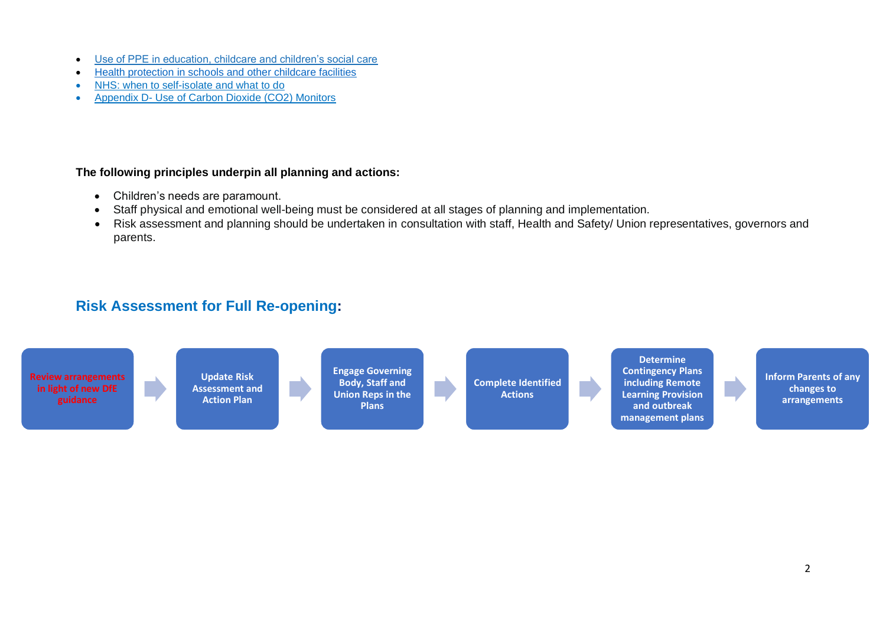- [Use of PPE in education, childcare and children's social care](https://urldefense.com/v3/__https:/eur02.safelinks.protection.outlook.com/?url=https*3A*2F*2Fwww.gov.uk*2Fgovernment*2Fpublications*2Fsafe-working-in-education-childcare-and-childrens-social-care*3Futm_source*3D06*2520July*25202021*2520C19*26utm_medium*3DDaily*2520Email*2520C19*26utm_campaign*3DDfE*2520C19&data=04*7C01*7C*7C9270018e217b44f35c5208d943a9e913*7Ca8b4324f155c4215a0f17ed8cc9a992f*7C0*7C0*7C637615221024274883*7CUnknown*7CTWFpbGZsb3d8eyJWIjoiMC4wLjAwMDAiLCJQIjoiV2luMzIiLCJBTiI6Ik1haWwiLCJXVCI6Mn0*3D*7C1000&sdata=SXd2E61FgyP17zsOjuqXqdmE*2F1b1OaL*2Bj2n6PelBobE*3D&reserved=0__;JSUlJSUlJSUlJSUlJSUlJSUlJSUlJSUlJSUlJSUlJSU!!CVb4j_0G!BpBAv5ebRMNWsbKd5uCNjmmvxZiZvG-dPGtwZZCU_8-JDR0xlrcJ55uJia6PmE-BcF85CNzIOPumlA$)
- [Health protection in schools and other childcare facilities](https://www.gov.uk/government/publications/health-protection-in-schools-and-other-childcare-facilities)
- [NHS: when to self-isolate and what to do](https://www.nhs.uk/conditions/coronavirus-covid-19/self-isolawhen-to-self-isolate-and-what-to-do/)
- Appendix D- Use of Carbon Dioxide (CO2) Monitors

#### **The following principles underpin all planning and actions:**

- Children's needs are paramount.
- Staff physical and emotional well-being must be considered at all stages of planning and implementation.
- Risk assessment and planning should be undertaken in consultation with staff, Health and Safety/ Union representatives, governors and parents.

## **Risk Assessment for Full Re-opening:**

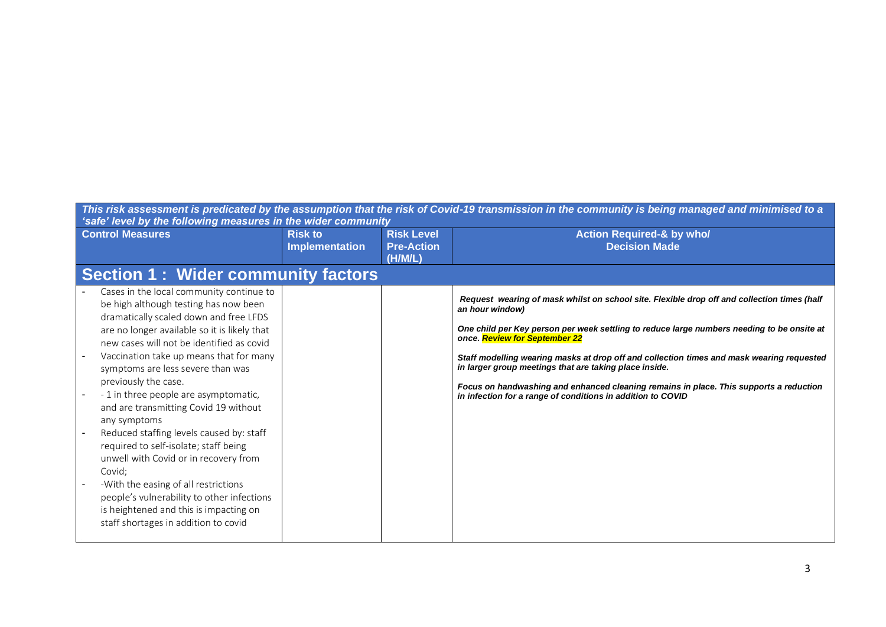| 'safe' level by the following measures in the wider community                                                                                                                                                                                                                                                                                                                                                                                                                                                                                                                                                                                                                                                                                      |                                         |                                                   | This risk assessment is predicated by the assumption that the risk of Covid-19 transmission in the community is being managed and minimised to a                                                                                                                                                                                                                                                                                                                                                                                                              |
|----------------------------------------------------------------------------------------------------------------------------------------------------------------------------------------------------------------------------------------------------------------------------------------------------------------------------------------------------------------------------------------------------------------------------------------------------------------------------------------------------------------------------------------------------------------------------------------------------------------------------------------------------------------------------------------------------------------------------------------------------|-----------------------------------------|---------------------------------------------------|---------------------------------------------------------------------------------------------------------------------------------------------------------------------------------------------------------------------------------------------------------------------------------------------------------------------------------------------------------------------------------------------------------------------------------------------------------------------------------------------------------------------------------------------------------------|
| <b>Control Measures</b>                                                                                                                                                                                                                                                                                                                                                                                                                                                                                                                                                                                                                                                                                                                            | <b>Risk to</b><br><b>Implementation</b> | <b>Risk Level</b><br><b>Pre-Action</b><br>(H/M/L) | <b>Action Required-&amp; by who/</b><br><b>Decision Made</b>                                                                                                                                                                                                                                                                                                                                                                                                                                                                                                  |
| Section 1: Wider community factors                                                                                                                                                                                                                                                                                                                                                                                                                                                                                                                                                                                                                                                                                                                 |                                         |                                                   |                                                                                                                                                                                                                                                                                                                                                                                                                                                                                                                                                               |
| Cases in the local community continue to<br>be high although testing has now been<br>dramatically scaled down and free LFDS<br>are no longer available so it is likely that<br>new cases will not be identified as covid<br>Vaccination take up means that for many<br>symptoms are less severe than was<br>previously the case.<br>- 1 in three people are asymptomatic,<br>and are transmitting Covid 19 without<br>any symptoms<br>Reduced staffing levels caused by: staff<br>required to self-isolate; staff being<br>unwell with Covid or in recovery from<br>Covid;<br>-With the easing of all restrictions<br>people's vulnerability to other infections<br>is heightened and this is impacting on<br>staff shortages in addition to covid |                                         |                                                   | Request wearing of mask whilst on school site. Flexible drop off and collection times (half<br>an hour window)<br>One child per Key person per week settling to reduce large numbers needing to be onsite at<br>once. Review for September 22<br>Staff modelling wearing masks at drop off and collection times and mask wearing requested<br>in larger group meetings that are taking place inside.<br>Focus on handwashing and enhanced cleaning remains in place. This supports a reduction<br>in infection for a range of conditions in addition to COVID |
|                                                                                                                                                                                                                                                                                                                                                                                                                                                                                                                                                                                                                                                                                                                                                    |                                         |                                                   |                                                                                                                                                                                                                                                                                                                                                                                                                                                                                                                                                               |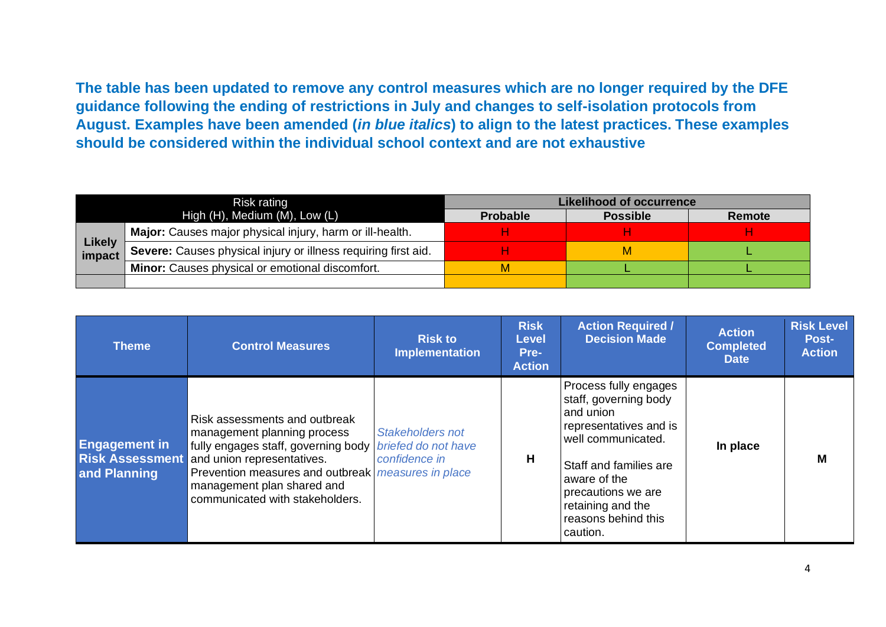**The table has been updated to remove any control measures which are no longer required by the DFE guidance following the ending of restrictions in July and changes to self-isolation protocols from August. Examples have been amended (***in blue italics***) to align to the latest practices. These examples should be considered within the individual school context and are not exhaustive**

|                         | Risk rating                                                    |                 | <b>Likelihood of occurrence</b> |        |
|-------------------------|----------------------------------------------------------------|-----------------|---------------------------------|--------|
|                         | High $(H)$ , Medium $(M)$ , Low $(L)$                          | <b>Probable</b> | <b>Possible</b>                 | Remote |
|                         | Major: Causes major physical injury, harm or ill-health.       |                 |                                 |        |
| <b>Likely</b><br>impact | Severe: Causes physical injury or illness requiring first aid. |                 |                                 |        |
|                         | Minor: Causes physical or emotional discomfort.                |                 |                                 |        |
|                         |                                                                |                 |                                 |        |

| <b>Theme</b>                                                   | <b>Control Measures</b>                                                                                                                                                                                                                                  | <b>Risk to</b><br><b>Implementation</b>                         | <b>Risk</b><br><b>Level</b><br>Pre-<br><b>Action</b> | <b>Action Required /</b><br><b>Decision Made</b>                                                                                                                                                                                    | <b>Action</b><br><b>Completed</b><br><b>Date</b> | <b>Risk Level</b><br>Post-<br><b>Action</b> |
|----------------------------------------------------------------|----------------------------------------------------------------------------------------------------------------------------------------------------------------------------------------------------------------------------------------------------------|-----------------------------------------------------------------|------------------------------------------------------|-------------------------------------------------------------------------------------------------------------------------------------------------------------------------------------------------------------------------------------|--------------------------------------------------|---------------------------------------------|
| <b>Engagement in</b><br><b>Risk Assessment</b><br>and Planning | Risk assessments and outbreak<br>management planning process<br>fully engages staff, governing body<br>and union representatives.<br>Prevention measures and outbreak measures in place<br>management plan shared and<br>communicated with stakeholders. | <b>Stakeholders not</b><br>briefed do not have<br>confidence in | H                                                    | Process fully engages<br>staff, governing body<br>and union<br>representatives and is<br>well communicated.<br>Staff and families are<br>aware of the<br>precautions we are<br>retaining and the<br>reasons behind this<br>caution. | In place                                         | M                                           |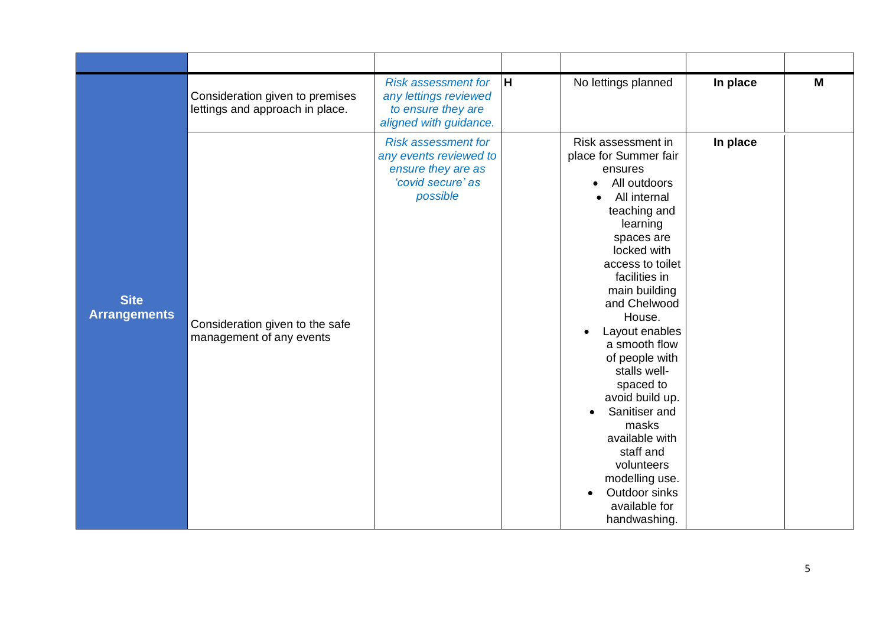|                                    | Consideration given to premises<br>lettings and approach in place. | <b>Risk assessment for</b><br>any lettings reviewed<br>to ensure they are<br>aligned with guidance.         | H | No lettings planned                                                                                                                                                                                                                                                                                                                                                                                                                                                                          | In place | M |
|------------------------------------|--------------------------------------------------------------------|-------------------------------------------------------------------------------------------------------------|---|----------------------------------------------------------------------------------------------------------------------------------------------------------------------------------------------------------------------------------------------------------------------------------------------------------------------------------------------------------------------------------------------------------------------------------------------------------------------------------------------|----------|---|
| <b>Site</b><br><b>Arrangements</b> | Consideration given to the safe<br>management of any events        | <b>Risk assessment for</b><br>any events reviewed to<br>ensure they are as<br>'covid secure' as<br>possible |   | Risk assessment in<br>place for Summer fair<br>ensures<br>All outdoors<br>All internal<br>teaching and<br>learning<br>spaces are<br>locked with<br>access to toilet<br>facilities in<br>main building<br>and Chelwood<br>House.<br>Layout enables<br>a smooth flow<br>of people with<br>stalls well-<br>spaced to<br>avoid build up.<br>Sanitiser and<br>$\bullet$<br>masks<br>available with<br>staff and<br>volunteers<br>modelling use.<br>Outdoor sinks<br>available for<br>handwashing. | In place |   |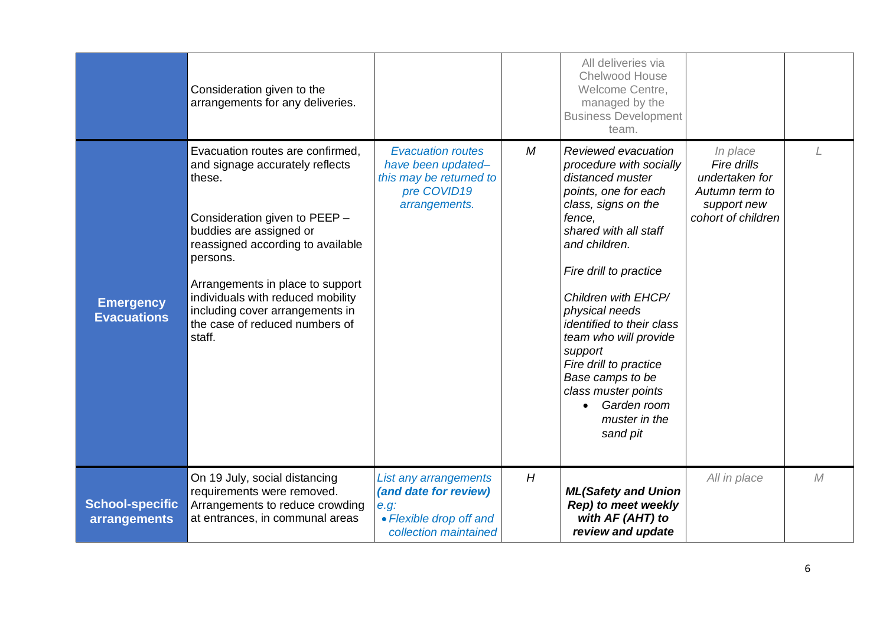|                                        | Consideration given to the<br>arrangements for any deliveries.                                                                                                                                                                                                                                                                                     |                                                                                                            |   | All deliveries via<br>Chelwood House<br>Welcome Centre,<br>managed by the<br><b>Business Development</b><br>team.                                                                                                                                                                                                                                                                                                          |                                                                                                  |   |
|----------------------------------------|----------------------------------------------------------------------------------------------------------------------------------------------------------------------------------------------------------------------------------------------------------------------------------------------------------------------------------------------------|------------------------------------------------------------------------------------------------------------|---|----------------------------------------------------------------------------------------------------------------------------------------------------------------------------------------------------------------------------------------------------------------------------------------------------------------------------------------------------------------------------------------------------------------------------|--------------------------------------------------------------------------------------------------|---|
| <b>Emergency</b><br><b>Evacuations</b> | Evacuation routes are confirmed,<br>and signage accurately reflects<br>these.<br>Consideration given to PEEP -<br>buddies are assigned or<br>reassigned according to available<br>persons.<br>Arrangements in place to support<br>individuals with reduced mobility<br>including cover arrangements in<br>the case of reduced numbers of<br>staff. | <b>Evacuation routes</b><br>have been updated-<br>this may be returned to<br>pre COVID19<br>arrangements.  | M | Reviewed evacuation<br>procedure with socially<br>distanced muster<br>points, one for each<br>class, signs on the<br>fence.<br>shared with all staff<br>and children.<br>Fire drill to practice<br>Children with EHCP/<br>physical needs<br>identified to their class<br>team who will provide<br>support<br>Fire drill to practice<br>Base camps to be<br>class muster points<br>Garden room<br>muster in the<br>sand pit | In place<br>Fire drills<br>undertaken for<br>Autumn term to<br>support new<br>cohort of children |   |
| <b>School-specific</b><br>arrangements | On 19 July, social distancing<br>requirements were removed.<br>Arrangements to reduce crowding<br>at entrances, in communal areas                                                                                                                                                                                                                  | List any arrangements<br>(and date for review)<br>e.g.<br>• Flexible drop off and<br>collection maintained | H | <b>ML(Safety and Union</b><br>Rep) to meet weekly<br>with AF (AHT) to<br>review and update                                                                                                                                                                                                                                                                                                                                 | All in place                                                                                     | M |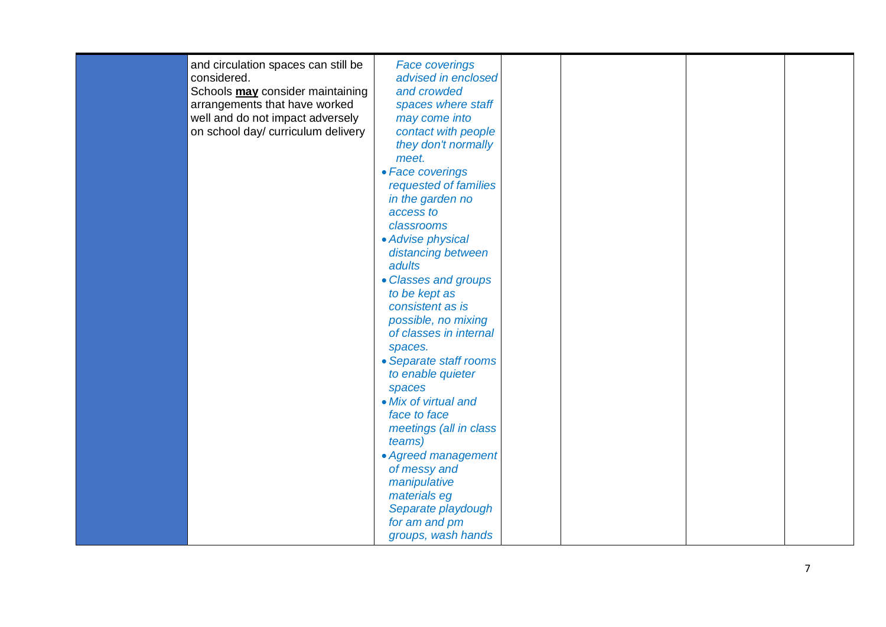| to be kept as<br>consistent as is<br>possible, no mixing<br>of classes in internal<br>spaces.<br>• Separate staff rooms<br>to enable quieter<br>spaces<br>• Mix of virtual and<br>face to face<br>meetings (all in class<br>teams)<br>• Agreed management<br>of messy and<br>manipulative | and circulation spaces can still be<br>considered.<br>Schools may consider maintaining<br>arrangements that have worked<br>well and do not impact adversely<br>on school day/ curriculum delivery | <b>Face coverings</b><br>advised in enclosed<br>and crowded<br>spaces where staff<br>may come into<br>contact with people<br>they don't normally<br>meet.<br>• Face coverings<br>requested of families<br>in the garden no<br>access to<br>classrooms<br>• Advise physical<br>distancing between<br>adults |  |  |
|-------------------------------------------------------------------------------------------------------------------------------------------------------------------------------------------------------------------------------------------------------------------------------------------|---------------------------------------------------------------------------------------------------------------------------------------------------------------------------------------------------|------------------------------------------------------------------------------------------------------------------------------------------------------------------------------------------------------------------------------------------------------------------------------------------------------------|--|--|
| • Classes and groups                                                                                                                                                                                                                                                                      |                                                                                                                                                                                                   |                                                                                                                                                                                                                                                                                                            |  |  |
|                                                                                                                                                                                                                                                                                           |                                                                                                                                                                                                   |                                                                                                                                                                                                                                                                                                            |  |  |
|                                                                                                                                                                                                                                                                                           |                                                                                                                                                                                                   |                                                                                                                                                                                                                                                                                                            |  |  |
|                                                                                                                                                                                                                                                                                           |                                                                                                                                                                                                   |                                                                                                                                                                                                                                                                                                            |  |  |
|                                                                                                                                                                                                                                                                                           |                                                                                                                                                                                                   |                                                                                                                                                                                                                                                                                                            |  |  |
|                                                                                                                                                                                                                                                                                           |                                                                                                                                                                                                   |                                                                                                                                                                                                                                                                                                            |  |  |
|                                                                                                                                                                                                                                                                                           |                                                                                                                                                                                                   |                                                                                                                                                                                                                                                                                                            |  |  |
|                                                                                                                                                                                                                                                                                           |                                                                                                                                                                                                   |                                                                                                                                                                                                                                                                                                            |  |  |
|                                                                                                                                                                                                                                                                                           |                                                                                                                                                                                                   |                                                                                                                                                                                                                                                                                                            |  |  |
|                                                                                                                                                                                                                                                                                           |                                                                                                                                                                                                   | materials eg                                                                                                                                                                                                                                                                                               |  |  |
| Separate playdough<br>for am and pm<br>groups, wash hands                                                                                                                                                                                                                                 |                                                                                                                                                                                                   |                                                                                                                                                                                                                                                                                                            |  |  |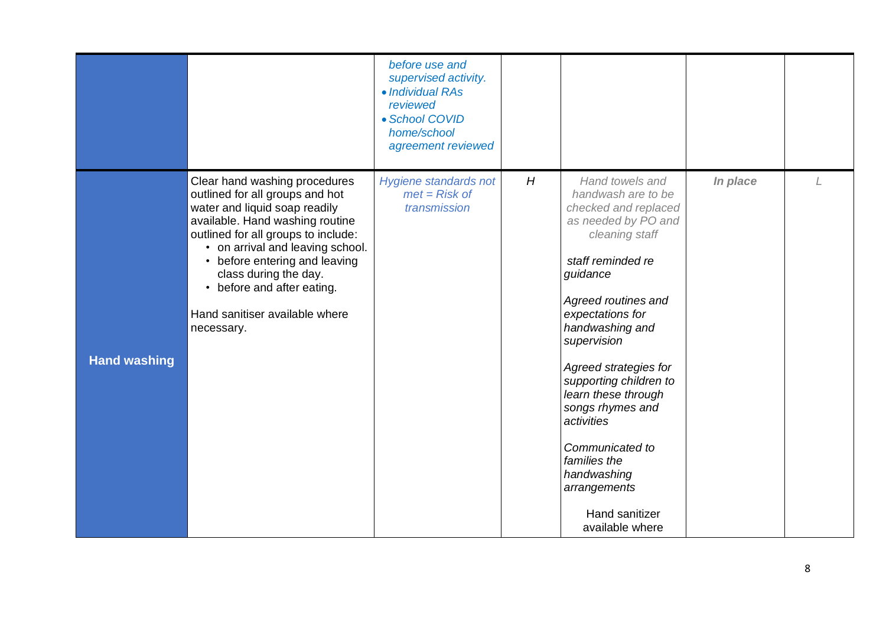|                     |                                                                                                                                                                                                                                                                                                                                                         | before use and<br>supervised activity.<br>• Individual RAs<br>reviewed<br>• School COVID<br>home/school<br>agreement reviewed |   |                                                                                                                                                                                                                                                                                                                                                                                                                                         |          |  |
|---------------------|---------------------------------------------------------------------------------------------------------------------------------------------------------------------------------------------------------------------------------------------------------------------------------------------------------------------------------------------------------|-------------------------------------------------------------------------------------------------------------------------------|---|-----------------------------------------------------------------------------------------------------------------------------------------------------------------------------------------------------------------------------------------------------------------------------------------------------------------------------------------------------------------------------------------------------------------------------------------|----------|--|
| <b>Hand washing</b> | Clear hand washing procedures<br>outlined for all groups and hot<br>water and liquid soap readily<br>available. Hand washing routine<br>outlined for all groups to include:<br>• on arrival and leaving school.<br>• before entering and leaving<br>class during the day.<br>• before and after eating.<br>Hand sanitiser available where<br>necessary. | Hygiene standards not<br>$met = Risk of$<br>transmission                                                                      | H | Hand towels and<br>handwash are to be<br>checked and replaced<br>as needed by PO and<br>cleaning staff<br>staff reminded re<br>guidance<br>Agreed routines and<br>expectations for<br>handwashing and<br>supervision<br>Agreed strategies for<br>supporting children to<br>learn these through<br>songs rhymes and<br>activities<br>Communicated to<br>families the<br>handwashing<br>arrangements<br>Hand sanitizer<br>available where | In place |  |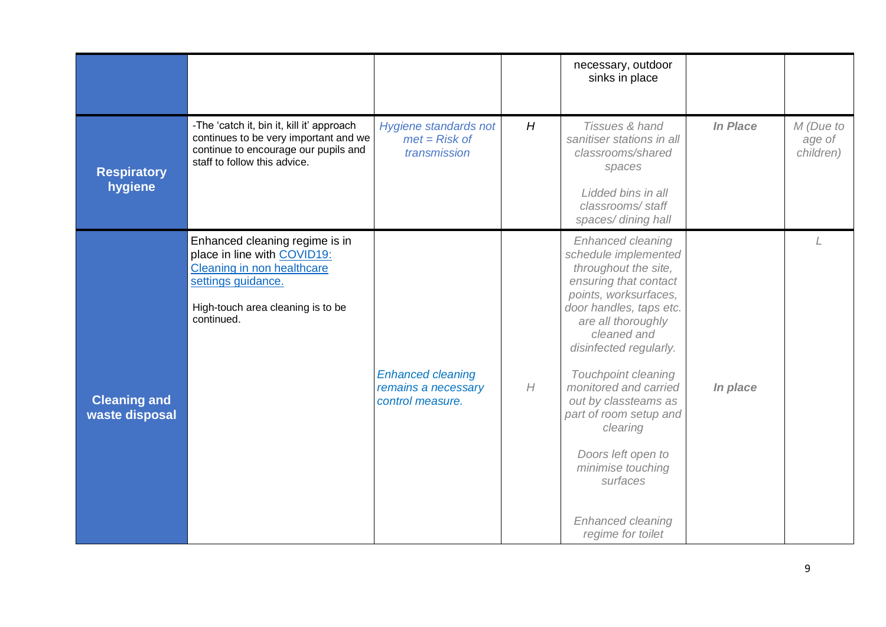|                                       |                                                                                                                                                                      |                                                                     |   | necessary, outdoor<br>sinks in place                                                                                                                                                                                                                                                                                                                                                                                         |          |                                  |
|---------------------------------------|----------------------------------------------------------------------------------------------------------------------------------------------------------------------|---------------------------------------------------------------------|---|------------------------------------------------------------------------------------------------------------------------------------------------------------------------------------------------------------------------------------------------------------------------------------------------------------------------------------------------------------------------------------------------------------------------------|----------|----------------------------------|
| <b>Respiratory</b><br>hygiene         | -The 'catch it, bin it, kill it' approach<br>continues to be very important and we<br>continue to encourage our pupils and<br>staff to follow this advice.           | Hygiene standards not<br>$met = Risk of$<br>transmission            | H | Tissues & hand<br>sanitiser stations in all<br>classrooms/shared<br>spaces<br>Lidded bins in all<br>classrooms/staff<br>spaces/dining hall                                                                                                                                                                                                                                                                                   | In Place | M (Due to<br>age of<br>children) |
| <b>Cleaning and</b><br>waste disposal | Enhanced cleaning regime is in<br>place in line with COVID19:<br>Cleaning in non healthcare<br>settings guidance.<br>High-touch area cleaning is to be<br>continued. | <b>Enhanced cleaning</b><br>remains a necessary<br>control measure. | H | Enhanced cleaning<br>schedule implemented<br>throughout the site,<br>ensuring that contact<br>points, worksurfaces,<br>door handles, taps etc.<br>are all thoroughly<br>cleaned and<br>disinfected regularly.<br>Touchpoint cleaning<br>monitored and carried<br>out by classteams as<br>part of room setup and<br>clearing<br>Doors left open to<br>minimise touching<br>surfaces<br>Enhanced cleaning<br>regime for toilet | In place |                                  |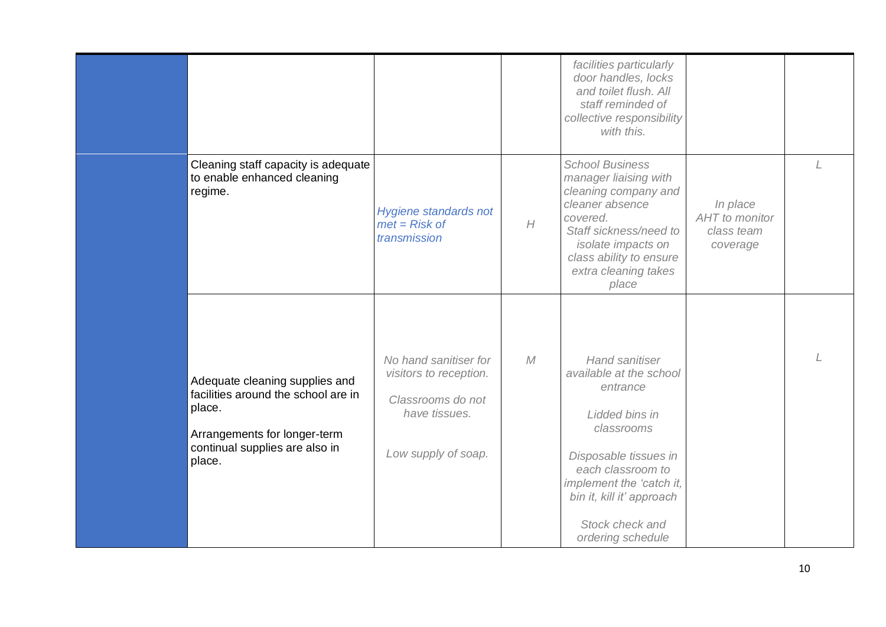|                                                                                                                                                             |                                                                                                              |   | facilities particularly<br>door handles, locks<br>and toilet flush. All<br>staff reminded of<br>collective responsibility<br>with this.                                                                                                     |                                                      |  |
|-------------------------------------------------------------------------------------------------------------------------------------------------------------|--------------------------------------------------------------------------------------------------------------|---|---------------------------------------------------------------------------------------------------------------------------------------------------------------------------------------------------------------------------------------------|------------------------------------------------------|--|
| Cleaning staff capacity is adequate<br>to enable enhanced cleaning<br>regime.                                                                               | Hygiene standards not<br>$met = Risk of$<br>transmission                                                     | H | <b>School Business</b><br>manager liaising with<br>cleaning company and<br>cleaner absence<br>covered.<br>Staff sickness/need to<br><i>isolate impacts on</i><br>class ability to ensure<br>extra cleaning takes<br>place                   | In place<br>AHT to monitor<br>class team<br>coverage |  |
| Adequate cleaning supplies and<br>facilities around the school are in<br>place.<br>Arrangements for longer-term<br>continual supplies are also in<br>place. | No hand sanitiser for<br>visitors to reception.<br>Classrooms do not<br>have tissues.<br>Low supply of soap. | M | <b>Hand sanitiser</b><br>available at the school<br>entrance<br>Lidded bins in<br>classrooms<br>Disposable tissues in<br>each classroom to<br>implement the 'catch it,<br>bin it, kill it' approach<br>Stock check and<br>ordering schedule |                                                      |  |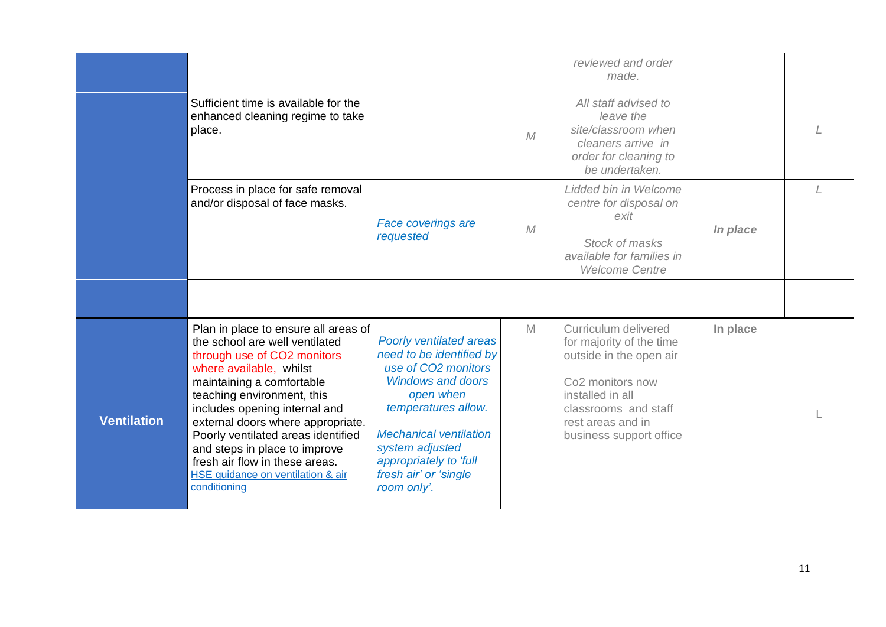|                    |                                                                                                                                                                                                                                                                                                                                                                                                                                 |                                                                                                                                                                                                                                                                  |   | reviewed and order<br>made.                                                                                                                                                                             |          |  |
|--------------------|---------------------------------------------------------------------------------------------------------------------------------------------------------------------------------------------------------------------------------------------------------------------------------------------------------------------------------------------------------------------------------------------------------------------------------|------------------------------------------------------------------------------------------------------------------------------------------------------------------------------------------------------------------------------------------------------------------|---|---------------------------------------------------------------------------------------------------------------------------------------------------------------------------------------------------------|----------|--|
|                    | Sufficient time is available for the<br>enhanced cleaning regime to take<br>place.                                                                                                                                                                                                                                                                                                                                              |                                                                                                                                                                                                                                                                  | M | All staff advised to<br>leave the<br>site/classroom when<br>cleaners arrive in<br>order for cleaning to<br>be undertaken.                                                                               |          |  |
|                    | Process in place for safe removal<br>and/or disposal of face masks.                                                                                                                                                                                                                                                                                                                                                             | <b>Face coverings are</b><br>requested                                                                                                                                                                                                                           | M | Lidded bin in Welcome<br>centre for disposal on<br>exit<br>Stock of masks<br>available for families in<br><b>Welcome Centre</b>                                                                         | In place |  |
|                    |                                                                                                                                                                                                                                                                                                                                                                                                                                 |                                                                                                                                                                                                                                                                  |   |                                                                                                                                                                                                         |          |  |
| <b>Ventilation</b> | Plan in place to ensure all areas of<br>the school are well ventilated<br>through use of CO2 monitors<br>where available, whilst<br>maintaining a comfortable<br>teaching environment, this<br>includes opening internal and<br>external doors where appropriate.<br>Poorly ventilated areas identified<br>and steps in place to improve<br>fresh air flow in these areas.<br>HSE guidance on ventilation & air<br>conditioning | Poorly ventilated areas<br>need to be identified by<br>use of CO2 monitors<br><b>Windows and doors</b><br>open when<br>temperatures allow.<br><b>Mechanical ventilation</b><br>system adjusted<br>appropriately to 'full<br>fresh air' or 'single<br>room only'. | M | Curriculum delivered<br>for majority of the time<br>outside in the open air<br>Co <sub>2</sub> monitors now<br>installed in all<br>classrooms and staff<br>rest areas and in<br>business support office | In place |  |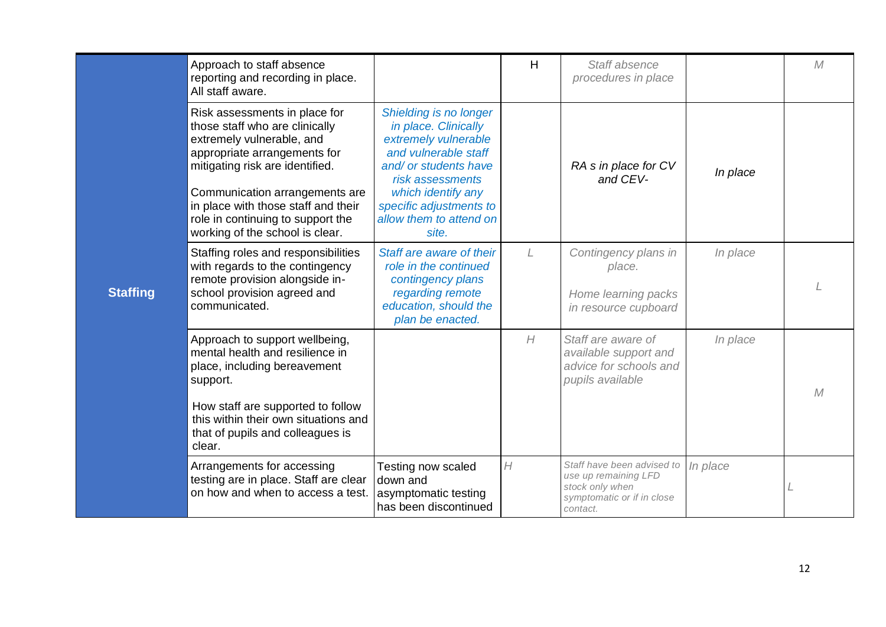|                 | Approach to staff absence<br>reporting and recording in place.<br>All staff aware.                                                                                                                                                                                                                               |                                                                                                                                                                                                                                  | H | Staff absence<br>procedures in place                                                                            |          | M            |
|-----------------|------------------------------------------------------------------------------------------------------------------------------------------------------------------------------------------------------------------------------------------------------------------------------------------------------------------|----------------------------------------------------------------------------------------------------------------------------------------------------------------------------------------------------------------------------------|---|-----------------------------------------------------------------------------------------------------------------|----------|--------------|
| <b>Staffing</b> | Risk assessments in place for<br>those staff who are clinically<br>extremely vulnerable, and<br>appropriate arrangements for<br>mitigating risk are identified.<br>Communication arrangements are<br>in place with those staff and their<br>role in continuing to support the<br>working of the school is clear. | Shielding is no longer<br>in place. Clinically<br>extremely vulnerable<br>and vulnerable staff<br>and/ or students have<br>risk assessments<br>which identify any<br>specific adjustments to<br>allow them to attend on<br>site. |   | RA s in place for CV<br>and CEV-                                                                                | In place |              |
|                 | Staffing roles and responsibilities<br>with regards to the contingency<br>remote provision alongside in-<br>school provision agreed and<br>communicated.                                                                                                                                                         | Staff are aware of their<br>role in the continued<br>contingency plans<br>regarding remote<br>education, should the<br>plan be enacted.                                                                                          | L | Contingency plans in<br>place.<br>Home learning packs<br>in resource cupboard                                   | In place |              |
|                 | Approach to support wellbeing,<br>mental health and resilience in<br>place, including bereavement<br>support.<br>How staff are supported to follow<br>this within their own situations and<br>that of pupils and colleagues is<br>clear.                                                                         |                                                                                                                                                                                                                                  | H | Staff are aware of<br>available support and<br>advice for schools and<br>pupils available                       | In place | $\mathcal M$ |
|                 | Arrangements for accessing<br>testing are in place. Staff are clear<br>on how and when to access a test.                                                                                                                                                                                                         | Testing now scaled<br>down and<br>asymptomatic testing<br>has been discontinued                                                                                                                                                  | H | Staff have been advised to<br>use up remaining LFD<br>stock only when<br>symptomatic or if in close<br>contact. | In place |              |

ſ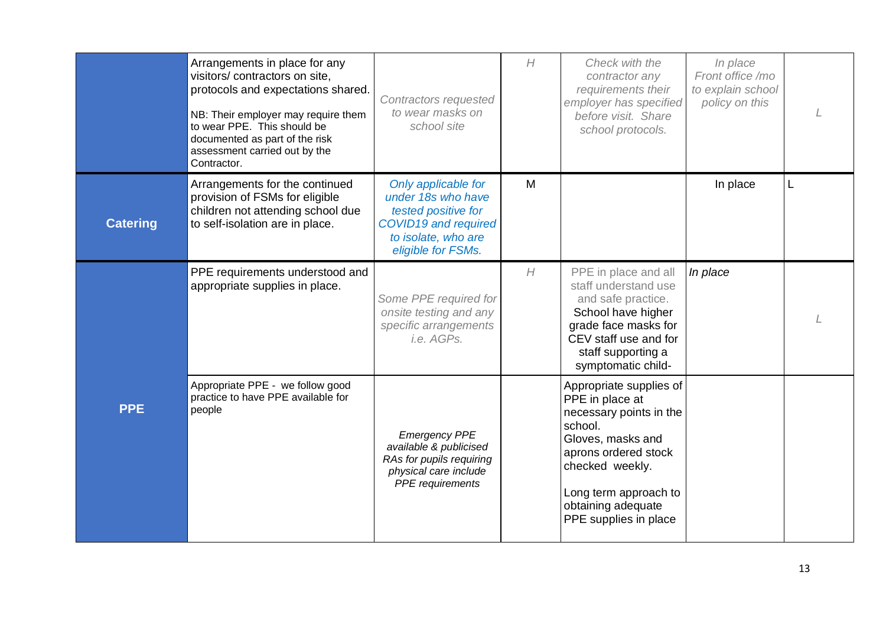|                 | Arrangements in place for any<br>visitors/contractors on site,<br>protocols and expectations shared.<br>NB: Their employer may require them<br>to wear PPE. This should be<br>documented as part of the risk<br>assessment carried out by the<br>Contractor. | Contractors requested<br>to wear masks on<br>school site                                                                              | H | Check with the<br>contractor any<br>requirements their<br>employer has specified<br>before visit. Share<br>school protocols.                                                                                             | In place<br>Front office /mo<br>to explain school<br>policy on this |   |
|-----------------|--------------------------------------------------------------------------------------------------------------------------------------------------------------------------------------------------------------------------------------------------------------|---------------------------------------------------------------------------------------------------------------------------------------|---|--------------------------------------------------------------------------------------------------------------------------------------------------------------------------------------------------------------------------|---------------------------------------------------------------------|---|
| <b>Catering</b> | Arrangements for the continued<br>provision of FSMs for eligible<br>children not attending school due<br>to self-isolation are in place.                                                                                                                     | Only applicable for<br>under 18s who have<br>tested positive for<br>COVID19 and required<br>to isolate, who are<br>eligible for FSMs. | M |                                                                                                                                                                                                                          | In place                                                            | L |
|                 | PPE requirements understood and<br>appropriate supplies in place.                                                                                                                                                                                            | Some PPE required for<br>onsite testing and any<br>specific arrangements<br>i.e. AGPs.                                                | H | PPE in place and all<br>staff understand use<br>and safe practice.<br>School have higher<br>grade face masks for<br>CEV staff use and for<br>staff supporting a<br>symptomatic child-                                    | In place                                                            |   |
| <b>PPE</b>      | Appropriate PPE - we follow good<br>practice to have PPE available for<br>people                                                                                                                                                                             | <b>Emergency PPE</b><br>available & publicised<br>RAs for pupils requiring<br>physical care include<br>PPE requirements               |   | Appropriate supplies of<br>PPE in place at<br>necessary points in the<br>school.<br>Gloves, masks and<br>aprons ordered stock<br>checked weekly.<br>Long term approach to<br>obtaining adequate<br>PPE supplies in place |                                                                     |   |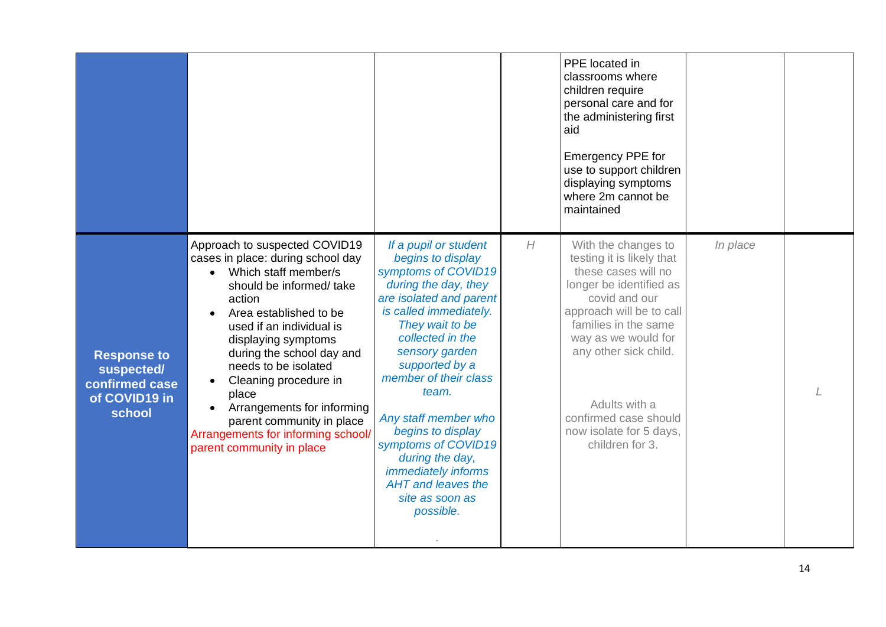|                                                                               |                                                                                                                                                                                                                                                                                                                                                                                                                                                 |                                                                                                                                                                                                                                                                                                                                                                                                                                        |   | PPE located in<br>classrooms where<br>children require<br>personal care and for<br>the administering first<br>aid<br>Emergency PPE for<br>use to support children<br>displaying symptoms<br>where 2m cannot be<br>maintained                                                                                    |          |  |
|-------------------------------------------------------------------------------|-------------------------------------------------------------------------------------------------------------------------------------------------------------------------------------------------------------------------------------------------------------------------------------------------------------------------------------------------------------------------------------------------------------------------------------------------|----------------------------------------------------------------------------------------------------------------------------------------------------------------------------------------------------------------------------------------------------------------------------------------------------------------------------------------------------------------------------------------------------------------------------------------|---|-----------------------------------------------------------------------------------------------------------------------------------------------------------------------------------------------------------------------------------------------------------------------------------------------------------------|----------|--|
| <b>Response to</b><br>suspected/<br>confirmed case<br>of COVID19 in<br>school | Approach to suspected COVID19<br>cases in place: during school day<br>Which staff member/s<br>$\bullet$<br>should be informed/ take<br>action<br>Area established to be<br>used if an individual is<br>displaying symptoms<br>during the school day and<br>needs to be isolated<br>Cleaning procedure in<br>place<br>Arrangements for informing<br>parent community in place<br>Arrangements for informing school/<br>parent community in place | If a pupil or student<br>begins to display<br>symptoms of COVID19<br>during the day, they<br>are isolated and parent<br>is called immediately.<br>They wait to be<br>collected in the<br>sensory garden<br>supported by a<br>member of their class<br>team.<br>Any staff member who<br>begins to display<br>symptoms of COVID19<br>during the day,<br><i>immediately informs</i><br>AHT and leaves the<br>site as soon as<br>possible. | H | With the changes to<br>testing it is likely that<br>these cases will no<br>longer be identified as<br>covid and our<br>approach will be to call<br>families in the same<br>way as we would for<br>any other sick child.<br>Adults with a<br>confirmed case should<br>now isolate for 5 days,<br>children for 3. | In place |  |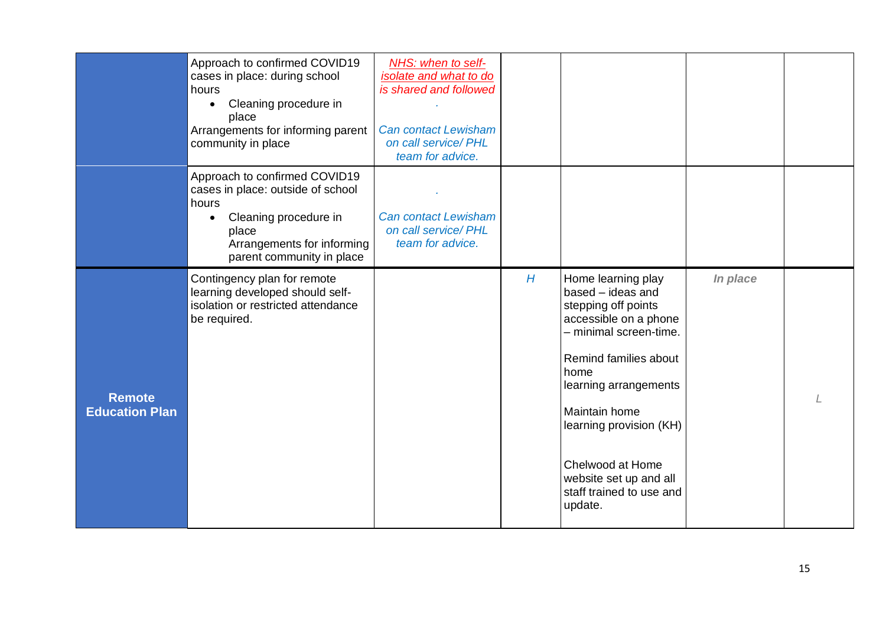|                                        | Approach to confirmed COVID19<br>cases in place: during school<br>hours<br>Cleaning procedure in<br>place<br>Arrangements for informing parent<br>community in place     | NHS: when to self-<br>isolate and what to do<br>is shared and followed<br><b>Can contact Lewisham</b><br>on call service/ PHL<br>team for advice. |   |                                                                                                                                                                                                                                                                                                              |          |  |
|----------------------------------------|--------------------------------------------------------------------------------------------------------------------------------------------------------------------------|---------------------------------------------------------------------------------------------------------------------------------------------------|---|--------------------------------------------------------------------------------------------------------------------------------------------------------------------------------------------------------------------------------------------------------------------------------------------------------------|----------|--|
|                                        | Approach to confirmed COVID19<br>cases in place: outside of school<br>hours<br>Cleaning procedure in<br>place<br>Arrangements for informing<br>parent community in place | <b>Can contact Lewisham</b><br>on call service/ PHL<br>team for advice.                                                                           |   |                                                                                                                                                                                                                                                                                                              |          |  |
| <b>Remote</b><br><b>Education Plan</b> | Contingency plan for remote<br>learning developed should self-<br>isolation or restricted attendance<br>be required.                                                     |                                                                                                                                                   | H | Home learning play<br>based - ideas and<br>stepping off points<br>accessible on a phone<br>- minimal screen-time.<br>Remind families about<br>home<br>learning arrangements<br>Maintain home<br>learning provision (KH)<br>Chelwood at Home<br>website set up and all<br>staff trained to use and<br>update. | In place |  |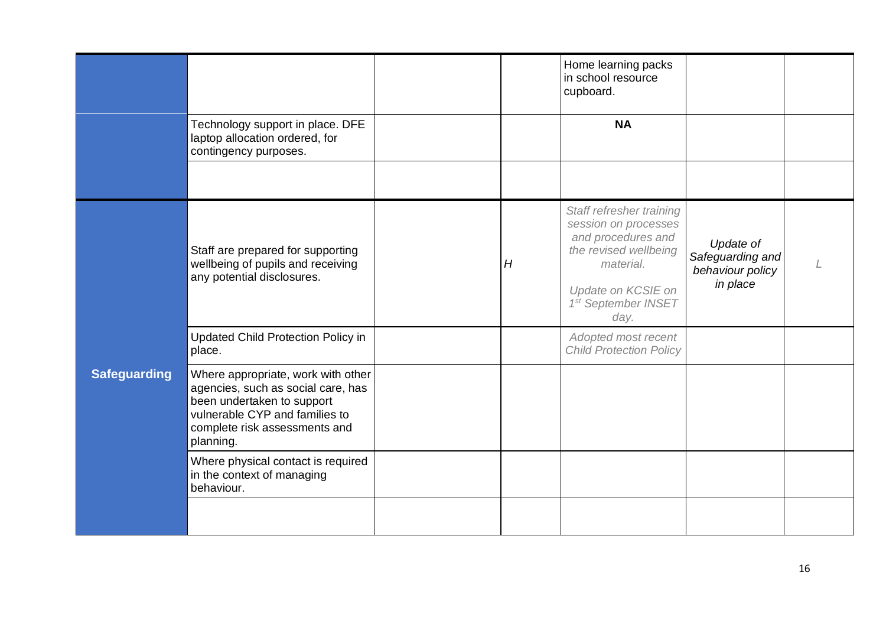|                     |                                                                                                                                                                                        |   | Home learning packs<br>in school resource<br>cupboard.                                                                                                            |                                                               |  |
|---------------------|----------------------------------------------------------------------------------------------------------------------------------------------------------------------------------------|---|-------------------------------------------------------------------------------------------------------------------------------------------------------------------|---------------------------------------------------------------|--|
|                     | Technology support in place. DFE<br>laptop allocation ordered, for<br>contingency purposes.                                                                                            |   | <b>NA</b>                                                                                                                                                         |                                                               |  |
|                     |                                                                                                                                                                                        |   |                                                                                                                                                                   |                                                               |  |
|                     | Staff are prepared for supporting<br>wellbeing of pupils and receiving<br>any potential disclosures.                                                                                   | H | Staff refresher training<br>session on processes<br>and procedures and<br>the revised wellbeing<br>material.<br>Update on KCSIE on<br>1st September INSET<br>day. | Update of<br>Safeguarding and<br>behaviour policy<br>in place |  |
|                     | Updated Child Protection Policy in<br>place.                                                                                                                                           |   | Adopted most recent<br><b>Child Protection Policy</b>                                                                                                             |                                                               |  |
| <b>Safeguarding</b> | Where appropriate, work with other<br>agencies, such as social care, has<br>been undertaken to support<br>vulnerable CYP and families to<br>complete risk assessments and<br>planning. |   |                                                                                                                                                                   |                                                               |  |
|                     | Where physical contact is required<br>in the context of managing<br>behaviour.                                                                                                         |   |                                                                                                                                                                   |                                                               |  |
|                     |                                                                                                                                                                                        |   |                                                                                                                                                                   |                                                               |  |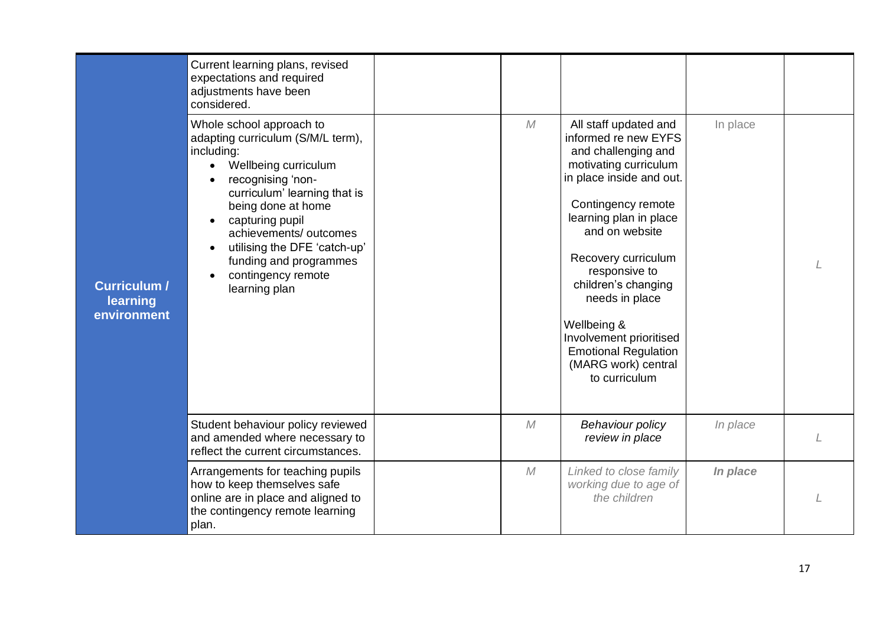|                                         | Current learning plans, revised<br>expectations and required<br>adjustments have been<br>considered.                                                                                                                                                                                                                                     |            |                                                                                                                                                                                                                                                                                                                                                                                               |          |  |
|-----------------------------------------|------------------------------------------------------------------------------------------------------------------------------------------------------------------------------------------------------------------------------------------------------------------------------------------------------------------------------------------|------------|-----------------------------------------------------------------------------------------------------------------------------------------------------------------------------------------------------------------------------------------------------------------------------------------------------------------------------------------------------------------------------------------------|----------|--|
| Curriculum /<br>learning<br>environment | Whole school approach to<br>adapting curriculum (S/M/L term),<br>including:<br>Wellbeing curriculum<br>$\bullet$<br>recognising 'non-<br>curriculum' learning that is<br>being done at home<br>capturing pupil<br>achievements/outcomes<br>utilising the DFE 'catch-up'<br>funding and programmes<br>contingency remote<br>learning plan | ${\cal M}$ | All staff updated and<br>informed re new EYFS<br>and challenging and<br>motivating curriculum<br>in place inside and out.<br>Contingency remote<br>learning plan in place<br>and on website<br>Recovery curriculum<br>responsive to<br>children's changing<br>needs in place<br>Wellbeing &<br>Involvement prioritised<br><b>Emotional Regulation</b><br>(MARG work) central<br>to curriculum | In place |  |
|                                         | Student behaviour policy reviewed<br>and amended where necessary to<br>reflect the current circumstances.                                                                                                                                                                                                                                | ${\cal M}$ | Behaviour policy<br>review in place                                                                                                                                                                                                                                                                                                                                                           | In place |  |
|                                         | Arrangements for teaching pupils<br>how to keep themselves safe<br>online are in place and aligned to<br>the contingency remote learning<br>plan.                                                                                                                                                                                        | M          | Linked to close family<br>working due to age of<br>the children                                                                                                                                                                                                                                                                                                                               | In place |  |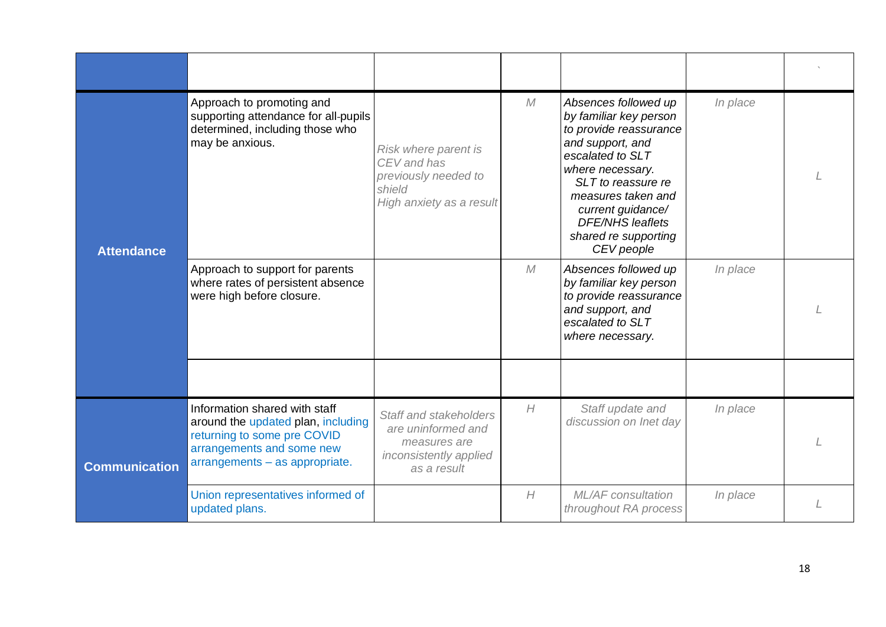| <b>Attendance</b>    | Approach to promoting and<br>supporting attendance for all-pupils<br>determined, including those who<br>may be anxious.                                           | Risk where parent is<br>CEV and has<br>previously needed to<br>shield<br>High anxiety as a result     | M | Absences followed up<br>by familiar key person<br>to provide reassurance<br>and support, and<br>escalated to SLT<br>where necessary.<br>SLT to reassure re<br>measures taken and<br>current guidance/<br><b>DFE/NHS leaflets</b><br>shared re supporting<br>CEV people | In place |  |
|----------------------|-------------------------------------------------------------------------------------------------------------------------------------------------------------------|-------------------------------------------------------------------------------------------------------|---|------------------------------------------------------------------------------------------------------------------------------------------------------------------------------------------------------------------------------------------------------------------------|----------|--|
|                      | Approach to support for parents<br>where rates of persistent absence<br>were high before closure.                                                                 |                                                                                                       | M | Absences followed up<br>by familiar key person<br>to provide reassurance<br>and support, and<br>escalated to SLT<br>where necessary.                                                                                                                                   | In place |  |
|                      |                                                                                                                                                                   |                                                                                                       |   |                                                                                                                                                                                                                                                                        |          |  |
| <b>Communication</b> | Information shared with staff<br>around the updated plan, including<br>returning to some pre COVID<br>arrangements and some new<br>arrangements - as appropriate. | Staff and stakeholders<br>are uninformed and<br>measures are<br>inconsistently applied<br>as a result | H | Staff update and<br>discussion on Inet day                                                                                                                                                                                                                             | In place |  |
|                      | Union representatives informed of<br>updated plans.                                                                                                               |                                                                                                       | H | ML/AF consultation<br>throughout RA process                                                                                                                                                                                                                            | In place |  |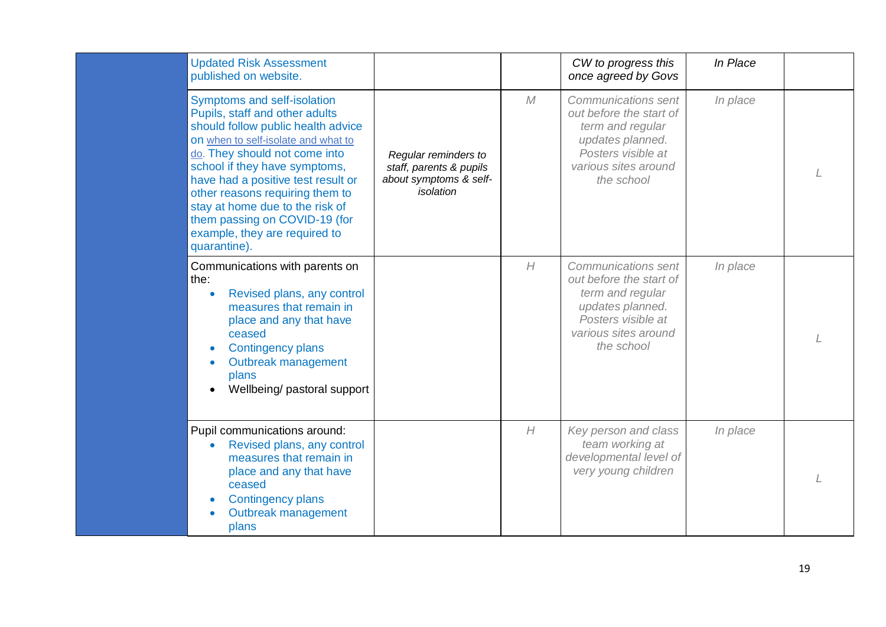| <b>Updated Risk Assessment</b><br>published on website.                                                                                                                                                                                                                                                                                                                                                    |                                                                                        |   | CW to progress this<br>once agreed by Govs                                                                                                         | In Place |  |
|------------------------------------------------------------------------------------------------------------------------------------------------------------------------------------------------------------------------------------------------------------------------------------------------------------------------------------------------------------------------------------------------------------|----------------------------------------------------------------------------------------|---|----------------------------------------------------------------------------------------------------------------------------------------------------|----------|--|
| Symptoms and self-isolation<br>Pupils, staff and other adults<br>should follow public health advice<br>on when to self-isolate and what to<br>do. They should not come into<br>school if they have symptoms,<br>have had a positive test result or<br>other reasons requiring them to<br>stay at home due to the risk of<br>them passing on COVID-19 (for<br>example, they are required to<br>quarantine). | Regular reminders to<br>staff, parents & pupils<br>about symptoms & self-<br>isolation | M | Communications sent<br>out before the start of<br>term and regular<br>updates planned.<br>Posters visible at<br>various sites around<br>the school | In place |  |
| Communications with parents on<br>the:<br>Revised plans, any control<br>measures that remain in<br>place and any that have<br>ceased<br><b>Contingency plans</b><br>Outbreak management<br>plans<br>Wellbeing/ pastoral support                                                                                                                                                                            |                                                                                        | H | Communications sent<br>out before the start of<br>term and regular<br>updates planned.<br>Posters visible at<br>various sites around<br>the school | In place |  |
| Pupil communications around:<br>Revised plans, any control<br>measures that remain in<br>place and any that have<br>ceased<br><b>Contingency plans</b><br>Outbreak management<br>plans                                                                                                                                                                                                                     |                                                                                        | H | Key person and class<br>team working at<br>developmental level of<br>very young children                                                           | In place |  |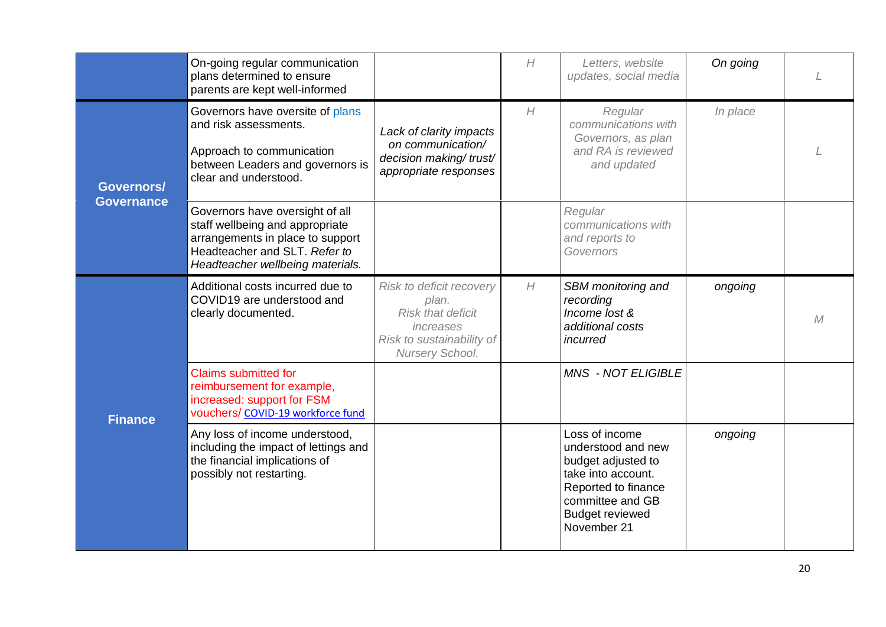|                                 | On-going regular communication<br>plans determined to ensure<br>parents are kept well-informed                                                                              |                                                                                                                            | H | Letters, website<br>updates, social media                                                                                                                            | On going |   |
|---------------------------------|-----------------------------------------------------------------------------------------------------------------------------------------------------------------------------|----------------------------------------------------------------------------------------------------------------------------|---|----------------------------------------------------------------------------------------------------------------------------------------------------------------------|----------|---|
| Governors/<br><b>Governance</b> | Governors have oversite of plans<br>and risk assessments.<br>Approach to communication<br>between Leaders and governors is<br>clear and understood.                         | Lack of clarity impacts<br>on communication/<br>decision making/trust/<br>appropriate responses                            | H | Regular<br>communications with<br>Governors, as plan<br>and RA is reviewed<br>and updated                                                                            | In place |   |
|                                 | Governors have oversight of all<br>staff wellbeing and appropriate<br>arrangements in place to support<br>Headteacher and SLT. Refer to<br>Headteacher wellbeing materials. |                                                                                                                            |   | Regular<br>communications with<br>and reports to<br>Governors                                                                                                        |          |   |
|                                 | Additional costs incurred due to<br>COVID19 are understood and<br>clearly documented.                                                                                       | Risk to deficit recovery<br>plan.<br><b>Risk that deficit</b><br>increases<br>Risk to sustainability of<br>Nursery School. | H | SBM monitoring and<br>recording<br>Income lost &<br>additional costs<br>incurred                                                                                     | ongoing  | M |
| <b>Finance</b>                  | <b>Claims submitted for</b><br>reimbursement for example,<br>increased: support for FSM<br>vouchers/ COVID-19 workforce fund                                                |                                                                                                                            |   | <b>MNS - NOT ELIGIBLE</b>                                                                                                                                            |          |   |
|                                 | Any loss of income understood,<br>including the impact of lettings and<br>the financial implications of<br>possibly not restarting.                                         |                                                                                                                            |   | Loss of income<br>understood and new<br>budget adjusted to<br>take into account.<br>Reported to finance<br>committee and GB<br><b>Budget reviewed</b><br>November 21 | ongoing  |   |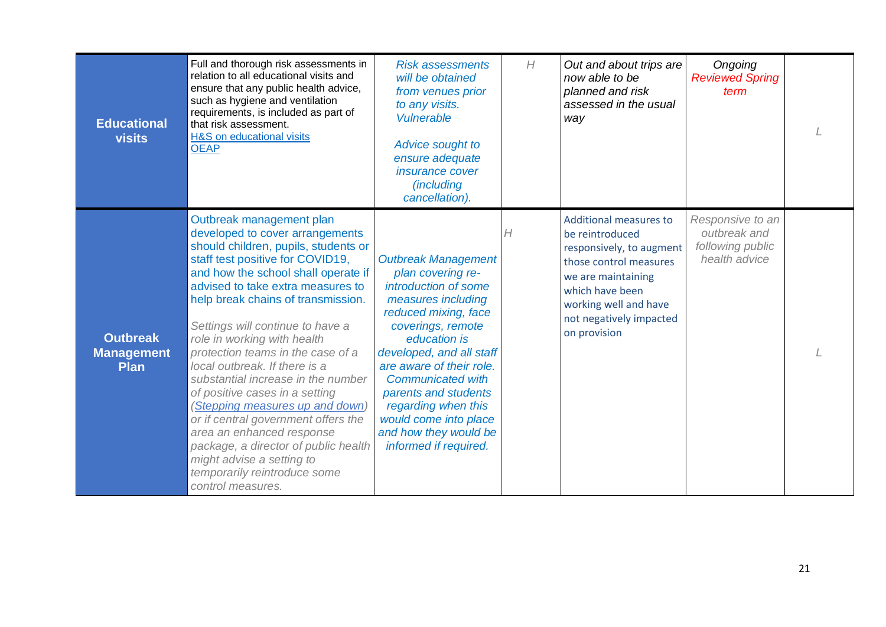| <b>Educational</b><br><b>visits</b>                 | Full and thorough risk assessments in<br>relation to all educational visits and<br>ensure that any public health advice,<br>such as hygiene and ventilation<br>requirements, is included as part of<br>that risk assessment.<br><b>H&amp;S</b> on educational visits<br><b>OEAP</b>                                                                                                                                                                                                                                                                                                                                                                                                                         | <b>Risk assessments</b><br>will be obtained<br>from venues prior<br>to any visits.<br><b>Vulnerable</b><br>Advice sought to<br>ensure adequate<br><i>insurance cover</i><br><i>(including</i><br>cancellation).                                                                                                                                                          | H | Out and about trips are<br>now able to be<br>planned and risk<br>assessed in the usual<br>way                                                                                                                       | Ongoing<br><b>Reviewed Spring</b><br>term                             |  |
|-----------------------------------------------------|-------------------------------------------------------------------------------------------------------------------------------------------------------------------------------------------------------------------------------------------------------------------------------------------------------------------------------------------------------------------------------------------------------------------------------------------------------------------------------------------------------------------------------------------------------------------------------------------------------------------------------------------------------------------------------------------------------------|--------------------------------------------------------------------------------------------------------------------------------------------------------------------------------------------------------------------------------------------------------------------------------------------------------------------------------------------------------------------------|---|---------------------------------------------------------------------------------------------------------------------------------------------------------------------------------------------------------------------|-----------------------------------------------------------------------|--|
| <b>Outbreak</b><br><b>Management</b><br><b>Plan</b> | Outbreak management plan<br>developed to cover arrangements<br>should children, pupils, students or<br>staff test positive for COVID19,<br>and how the school shall operate if<br>advised to take extra measures to<br>help break chains of transmission.<br>Settings will continue to have a<br>role in working with health<br>protection teams in the case of a<br>local outbreak. If there is a<br>substantial increase in the number<br>of positive cases in a setting<br>(Stepping measures up and down)<br>or if central government offers the<br>area an enhanced response<br>package, a director of public health<br>might advise a setting to<br>temporarily reintroduce some<br>control measures. | <b>Outbreak Management</b><br>plan covering re-<br>introduction of some<br>measures including<br>reduced mixing, face<br>coverings, remote<br>education is<br>developed, and all staff<br>are aware of their role.<br><b>Communicated with</b><br>parents and students<br>regarding when this<br>would come into place<br>and how they would be<br>informed if required. | H | <b>Additional measures to</b><br>be reintroduced<br>responsively, to augment<br>those control measures<br>we are maintaining<br>which have been<br>working well and have<br>not negatively impacted<br>on provision | Responsive to an<br>outbreak and<br>following public<br>health advice |  |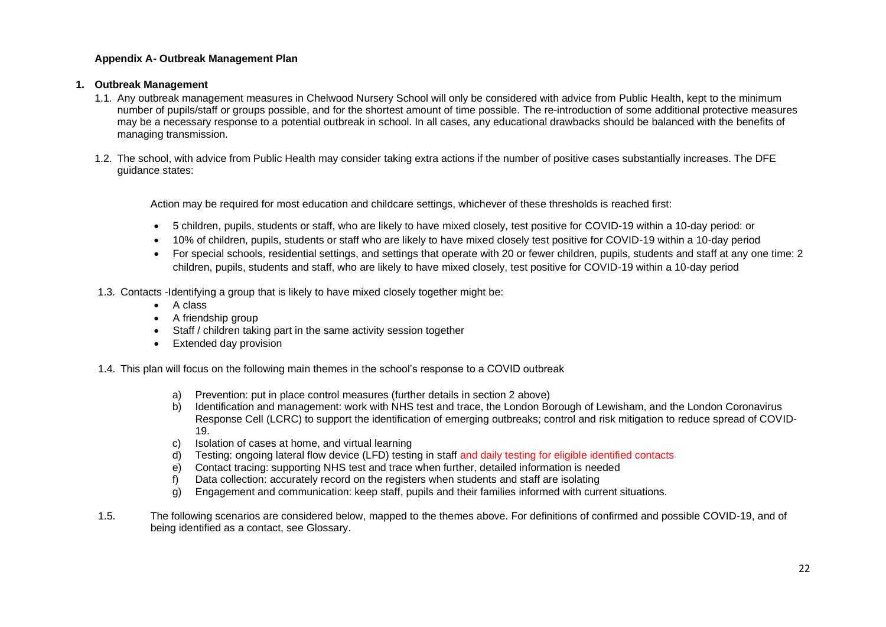#### **Appendix A- Outbreak Management Plan**

#### **1. Outbreak Management**

- 1.1. Any outbreak management measures in Chelwood Nursery School will only be considered with advice from Public Health, kept to the minimum number of pupils/staff or groups possible, and for the shortest amount of time possible. The re-introduction of some additional protective measures may be a necessary response to a potential outbreak in school. In all cases, any educational drawbacks should be balanced with the benefits of managing transmission.
- 1.2. The school, with advice from Public Health may consider taking extra actions if the number of positive cases substantially increases. The DFE guidance states:

Action may be required for most education and childcare settings, whichever of these thresholds is reached first:

- 5 children, pupils, students or staff, who are likely to have mixed closely, test positive for COVID-19 within a 10-day period: or
- 10% of children, pupils, students or staff who are likely to have mixed closely test positive for COVID-19 within a 10-day period
- For special schools, residential settings, and settings that operate with 20 or fewer children, pupils, students and staff at any one time: 2 children, pupils, students and staff, who are likely to have mixed closely, test positive for COVID-19 within a 10-day period
- 1.3. Contacts -Identifying a group that is likely to have mixed closely together might be:
	- A class
	- A friendship group
	- Staff / children taking part in the same activity session together
	- Extended day provision

1.4. This plan will focus on the following main themes in the school's response to a COVID outbreak

- a) Prevention: put in place control measures (further details in section 2 above)
- b) Identification and management: work with NHS test and trace, the London Borough of Lewisham, and the London Coronavirus Response Cell (LCRC) to support the identification of emerging outbreaks; control and risk mitigation to reduce spread of COVID-19.
- c) Isolation of cases at home, and virtual learning
- d) Testing: ongoing lateral flow device (LFD) testing in staff and daily testing for eligible identified contacts
- e) Contact tracing: supporting NHS test and trace when further, detailed information is needed
- f) Data collection: accurately record on the registers when students and staff are isolating
- g) Engagement and communication: keep staff, pupils and their families informed with current situations.
- 1.5. The following scenarios are considered below, mapped to the themes above. For definitions of confirmed and possible COVID-19, and of being identified as a contact, see Glossary.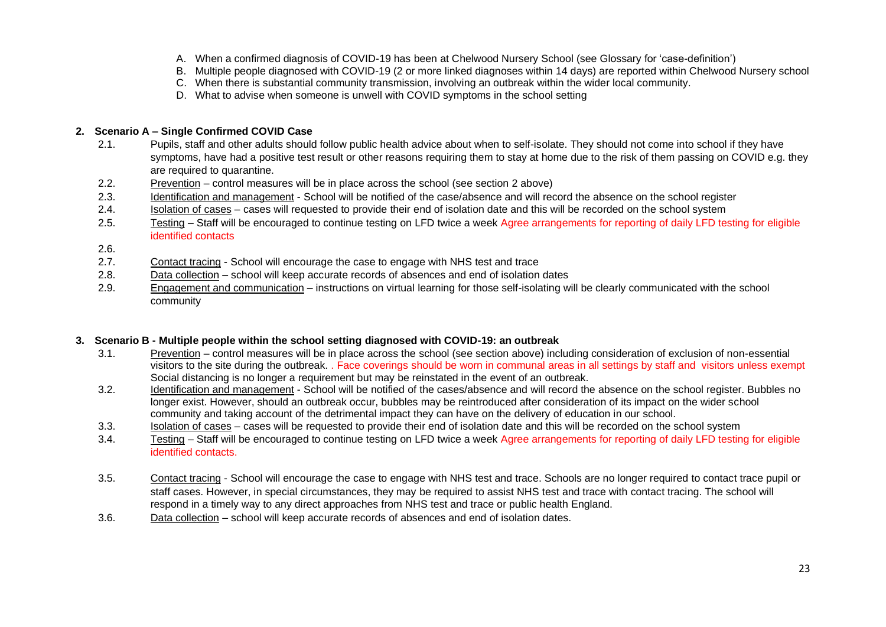- A. When a confirmed diagnosis of COVID-19 has been at Chelwood Nursery School (see Glossary for 'case-definition')
- B. Multiple people diagnosed with COVID-19 (2 or more linked diagnoses within 14 days) are reported within Chelwood Nursery school
- C. When there is substantial community transmission, involving an outbreak within the wider local community.
- D. What to advise when someone is unwell with COVID symptoms in the school setting

#### **2. Scenario A – Single Confirmed COVID Case**

- 2.1. Pupils, staff and other adults should follow public health advice about when to self-isolate. They should not come into school if they have symptoms, have had a positive test result or other reasons requiring them to stay at home due to the risk of them passing on COVID e.g. they are required to quarantine.
- 2.2. Prevention control measures will be in place across the school (see section 2 above)
- 2.3. Identification and management School will be notified of the case/absence and will record the absence on the school register
- 2.4. Isolation of cases cases will requested to provide their end of isolation date and this will be recorded on the school system
- 2.5. Testing Staff will be encouraged to continue testing on LFD twice a week Agree arrangements for reporting of daily LFD testing for eligible identified contacts
- 2.6.
- 2.7. Contact tracing School will encourage the case to engage with NHS test and trace
- 2.8. Data collection school will keep accurate records of absences and end of isolation dates
- 2.9. Engagement and communication instructions on virtual learning for those self-isolating will be clearly communicated with the school community

#### **3. Scenario B - Multiple people within the school setting diagnosed with COVID-19: an outbreak**

- 3.1. Prevention control measures will be in place across the school (see section above) including consideration of exclusion of non-essential visitors to the site during the outbreak. . Face coverings should be worn in communal areas in all settings by staff and visitors unless exempt Social distancing is no longer a requirement but may be reinstated in the event of an outbreak.
- 3.2. Identification and management School will be notified of the cases/absence and will record the absence on the school register. Bubbles no longer exist. However, should an outbreak occur, bubbles may be reintroduced after consideration of its impact on the wider school community and taking account of the detrimental impact they can have on the delivery of education in our school.
- 3.3. Isolation of cases cases will be requested to provide their end of isolation date and this will be recorded on the school system
- 3.4. Testing Staff will be encouraged to continue testing on LFD twice a week Agree arrangements for reporting of daily LFD testing for eligible identified contacts.
- 3.5. Contact tracing School will encourage the case to engage with NHS test and trace. Schools are no longer required to contact trace pupil or staff cases. However, in special circumstances, they may be required to assist NHS test and trace with contact tracing. The school will respond in a timely way to any direct approaches from NHS test and trace or public health England.
- 3.6. Data collection school will keep accurate records of absences and end of isolation dates.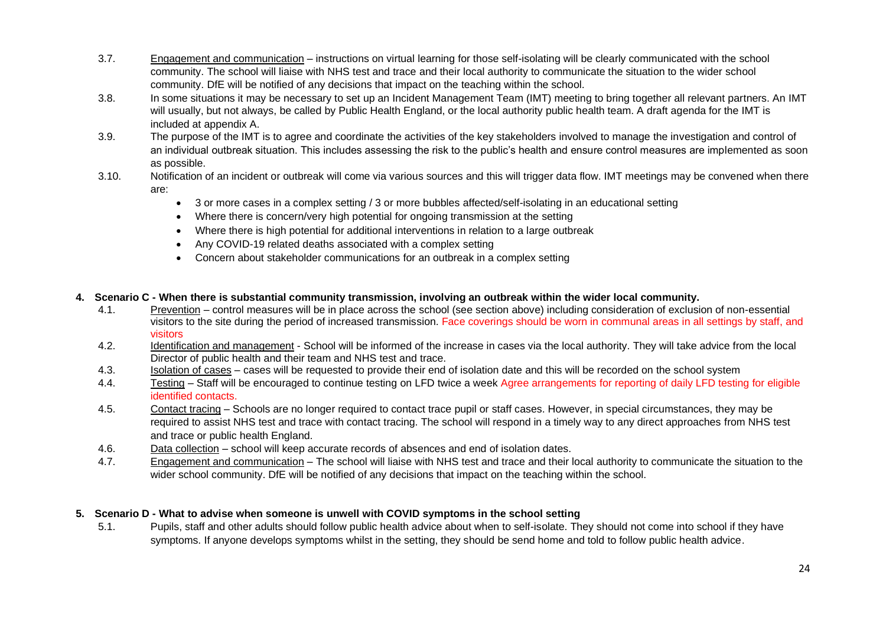- 3.7. Engagement and communication instructions on virtual learning for those self-isolating will be clearly communicated with the school community. The school will liaise with NHS test and trace and their local authority to communicate the situation to the wider school community. DfE will be notified of any decisions that impact on the teaching within the school.
- 3.8. In some situations it may be necessary to set up an Incident Management Team (IMT) meeting to bring together all relevant partners. An IMT will usually, but not always, be called by Public Health England, or the local authority public health team. A draft agenda for the IMT is included at appendix A.
- 3.9. The purpose of the IMT is to agree and coordinate the activities of the key stakeholders involved to manage the investigation and control of an individual outbreak situation. This includes assessing the risk to the public's health and ensure control measures are implemented as soon as possible.
- 3.10. Notification of an incident or outbreak will come via various sources and this will trigger data flow. IMT meetings may be convened when there are:
	- 3 or more cases in a complex setting / 3 or more bubbles affected/self-isolating in an educational setting
	- Where there is concern/very high potential for ongoing transmission at the setting
	- Where there is high potential for additional interventions in relation to a large outbreak
	- Any COVID-19 related deaths associated with a complex setting
	- Concern about stakeholder communications for an outbreak in a complex setting

#### **4. Scenario C - When there is substantial community transmission, involving an outbreak within the wider local community.**

- 4.1. Prevention control measures will be in place across the school (see section above) including consideration of exclusion of non-essential visitors to the site during the period of increased transmission. Face coverings should be worn in communal areas in all settings by staff, and visitors
- 4.2. Identification and management School will be informed of the increase in cases via the local authority. They will take advice from the local Director of public health and their team and NHS test and trace.
- 4.3. Isolation of cases cases will be requested to provide their end of isolation date and this will be recorded on the school system
- 4.4. Testing Staff will be encouraged to continue testing on LFD twice a week Agree arrangements for reporting of daily LFD testing for eligible identified contacts.
- 4.5. Contact tracing Schools are no longer required to contact trace pupil or staff cases. However, in special circumstances, they may be required to assist NHS test and trace with contact tracing. The school will respond in a timely way to any direct approaches from NHS test and trace or public health England.
- 4.6. Data collection school will keep accurate records of absences and end of isolation dates.
- 4.7. Engagement and communication The school will liaise with NHS test and trace and their local authority to communicate the situation to the wider school community. DfE will be notified of any decisions that impact on the teaching within the school.

#### **5. Scenario D - What to advise when someone is unwell with COVID symptoms in the school setting**

5.1. Pupils, staff and other adults should follow public health advice about when to self-isolate. They should not come into school if they have symptoms. If anyone develops symptoms whilst in the setting, they should be send home and told to follow public health advice.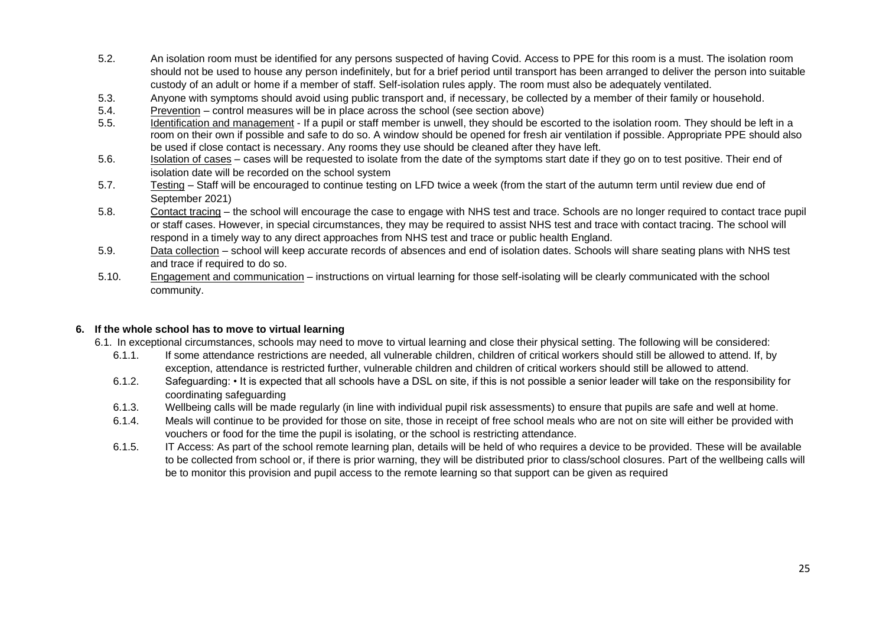- 5.2. An isolation room must be identified for any persons suspected of having Covid. Access to PPE for this room is a must. The isolation room should not be used to house any person indefinitely, but for a brief period until transport has been arranged to deliver the person into suitable custody of an adult or home if a member of staff. Self-isolation rules apply. The room must also be adequately ventilated.
- 5.3. Anyone with symptoms should avoid using public transport and, if necessary, be collected by a member of their family or household.
- 5.4. Prevention control measures will be in place across the school (see section above)
- 5.5. Identification and management If a pupil or staff member is unwell, they should be escorted to the isolation room. They should be left in a room on their own if possible and safe to do so. A window should be opened for fresh air ventilation if possible. Appropriate PPE should also be used if close contact is necessary. Any rooms they use should be cleaned after they have left.
- 5.6. Isolation of cases cases will be requested to isolate from the date of the symptoms start date if they go on to test positive. Their end of isolation date will be recorded on the school system
- 5.7. Testing Staff will be encouraged to continue testing on LFD twice a week (from the start of the autumn term until review due end of September 2021)
- 5.8. Contact tracing the school will encourage the case to engage with NHS test and trace. Schools are no longer required to contact trace pupil or staff cases. However, in special circumstances, they may be required to assist NHS test and trace with contact tracing. The school will respond in a timely way to any direct approaches from NHS test and trace or public health England.
- 5.9. Data collection school will keep accurate records of absences and end of isolation dates. Schools will share seating plans with NHS test and trace if required to do so.
- 5.10. Engagement and communication instructions on virtual learning for those self-isolating will be clearly communicated with the school community.

#### **6. If the whole school has to move to virtual learning**

- 6.1. In exceptional circumstances, schools may need to move to virtual learning and close their physical setting. The following will be considered:
	- 6.1.1. If some attendance restrictions are needed, all vulnerable children, children of critical workers should still be allowed to attend. If, by exception, attendance is restricted further, vulnerable children and children of critical workers should still be allowed to attend.
	- 6.1.2. Safeguarding: It is expected that all schools have a DSL on site, if this is not possible a senior leader will take on the responsibility for coordinating safeguarding
	- 6.1.3. Wellbeing calls will be made regularly (in line with individual pupil risk assessments) to ensure that pupils are safe and well at home.
	- 6.1.4. Meals will continue to be provided for those on site, those in receipt of free school meals who are not on site will either be provided with vouchers or food for the time the pupil is isolating, or the school is restricting attendance.
	- 6.1.5. IT Access: As part of the school remote learning plan, details will be held of who requires a device to be provided. These will be available to be collected from school or, if there is prior warning, they will be distributed prior to class/school closures. Part of the wellbeing calls will be to monitor this provision and pupil access to the remote learning so that support can be given as required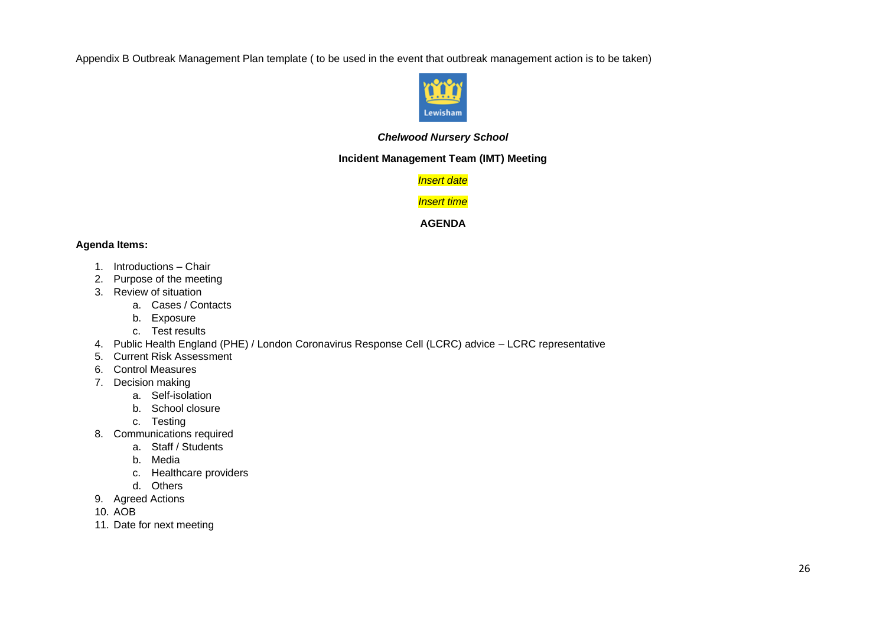Appendix B Outbreak Management Plan template ( to be used in the event that outbreak management action is to be taken)



#### *Chelwood Nursery School*

#### **Incident Management Team (IMT) Meeting**

*Insert date*

#### *Insert time*

#### **AGENDA**

#### **Agenda Items:**

- 1. Introductions Chair
- 2. Purpose of the meeting
- 3. Review of situation
	- a. Cases / Contacts
	- b. Exposure
	- c. Test results
- 4. Public Health England (PHE) / London Coronavirus Response Cell (LCRC) advice LCRC representative
- 5. Current Risk Assessment
- 6. Control Measures
- 7. Decision making
	- a. Self-isolation
	- b. School closure
	- c. Testing
- 8. Communications required
	- a. Staff / Students
	- b. Media
	- c. Healthcare providers
	- d. Others
- 9. Agreed Actions

10. AOB

11. Date for next meeting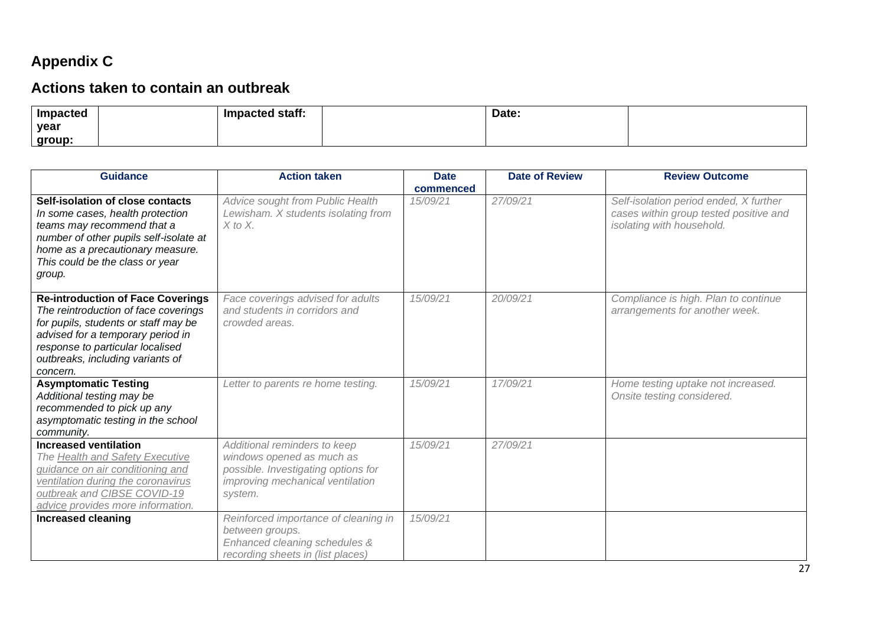# **Appendix C**

# **Actions taken to contain an outbreak**

| Impacted | Impacted staff: | Date: |  |
|----------|-----------------|-------|--|
| year     |                 |       |  |
| group:   |                 |       |  |

| <b>Guidance</b>                                                                                                                                                                                                                                   | <b>Action taken</b>                                                                                                                             | <b>Date</b> | <b>Date of Review</b> | <b>Review Outcome</b>                                                                                         |
|---------------------------------------------------------------------------------------------------------------------------------------------------------------------------------------------------------------------------------------------------|-------------------------------------------------------------------------------------------------------------------------------------------------|-------------|-----------------------|---------------------------------------------------------------------------------------------------------------|
|                                                                                                                                                                                                                                                   |                                                                                                                                                 | commenced   |                       |                                                                                                               |
| Self-isolation of close contacts<br>In some cases, health protection<br>teams may recommend that a<br>number of other pupils self-isolate at<br>home as a precautionary measure.<br>This could be the class or year<br>group.                     | Advice sought from Public Health<br>Lewisham. X students isolating from<br>$X$ to $X$ .                                                         | 15/09/21    | 27/09/21              | Self-isolation period ended, X further<br>cases within group tested positive and<br>isolating with household. |
| <b>Re-introduction of Face Coverings</b><br>The reintroduction of face coverings<br>for pupils, students or staff may be<br>advised for a temporary period in<br>response to particular localised<br>outbreaks, including variants of<br>concern. | Face coverings advised for adults<br>and students in corridors and<br>crowded areas.                                                            | 15/09/21    | 20/09/21              | Compliance is high. Plan to continue<br>arrangements for another week.                                        |
| <b>Asymptomatic Testing</b><br>Additional testing may be<br>recommended to pick up any<br>asymptomatic testing in the school<br>community.                                                                                                        | Letter to parents re home testing.                                                                                                              | 15/09/21    | 17/09/21              | Home testing uptake not increased.<br>Onsite testing considered.                                              |
| <b>Increased ventilation</b><br>The <b>Health and Safety Executive</b><br>guidance on air conditioning and<br>ventilation during the coronavirus<br>outbreak and CIBSE COVID-19<br>advice provides more information.                              | Additional reminders to keep<br>windows opened as much as<br>possible. Investigating options for<br>improving mechanical ventilation<br>system. | 15/09/21    | 27/09/21              |                                                                                                               |
| <b>Increased cleaning</b>                                                                                                                                                                                                                         | Reinforced importance of cleaning in<br>between groups.<br>Enhanced cleaning schedules &<br>recording sheets in (list places)                   | 15/09/21    |                       |                                                                                                               |